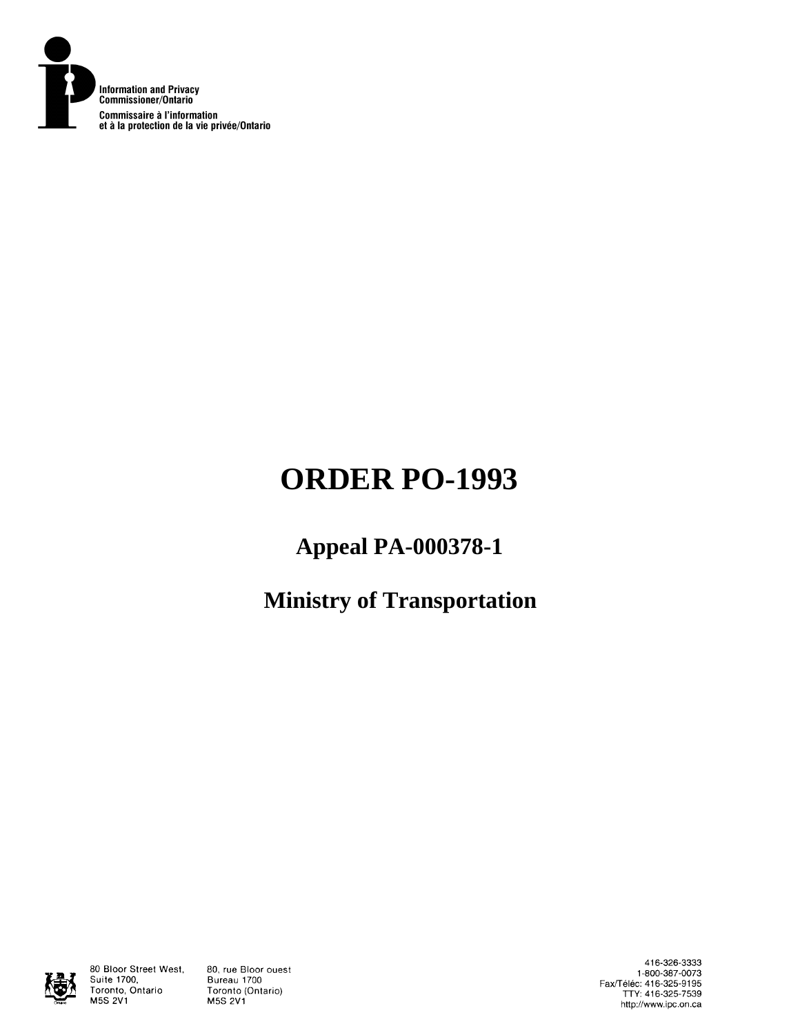

# **ORDER PO-1993**

## **Appeal PA-000378-1**

**Ministry of Transportation** 



80 Bloor Street West, Suite 1700, Toronto, Ontario **M5S 2V1** 

80, rue Bloor ouest Bureau 1700 Toronto (Ontario) **M5S 2V1** 

416-326-3333 1-800-387-0073 Fax/Téléc: 416-325-9195<br>TTY: 416-325-7539 http://www.ipc.on.ca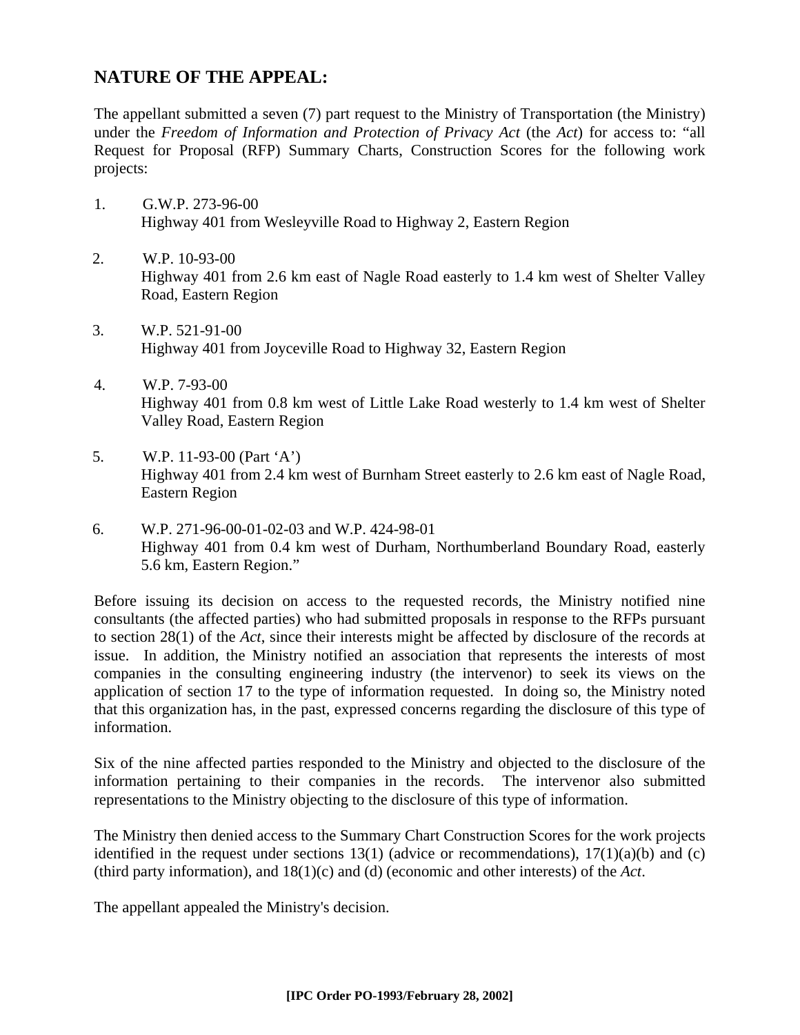## **NATURE OF THE APPEAL:**

The appellant submitted a seven (7) part request to the Ministry of Transportation (the Ministry) under the *Freedom of Information and Protection of Privacy Act* (the *Act*) for access to: "all Request for Proposal (RFP) Summary Charts, Construction Scores for the following work projects:

- 1. G.W.P. 273-96-00 Highway 401 from Wesleyville Road to Highway 2, Eastern Region
- 2. W.P. 10-93-00 Highway 401 from 2.6 km east of Nagle Road easterly to 1.4 km west of Shelter Valley Road, Eastern Region
- 3. W.P. 521-91-00 Highway 401 from Joyceville Road to Highway 32, Eastern Region
- 4. W.P. 7-93-00 Highway 401 from 0.8 km west of Little Lake Road westerly to 1.4 km west of Shelter Valley Road, Eastern Region
- 5. W.P. 11-93-00 (Part 'A') Highway 401 from 2.4 km west of Burnham Street easterly to 2.6 km east of Nagle Road, Eastern Region
- 6. W.P. 271-96-00-01-02-03 and W.P. 424-98-01 Highway 401 from 0.4 km west of Durham, Northumberland Boundary Road, easterly 5.6 km, Eastern Region."

Before issuing its decision on access to the requested records, the Ministry notified nine consultants (the affected parties) who had submitted proposals in response to the RFPs pursuant to section 28(1) of the *Act*, since their interests might be affected by disclosure of the records at issue. In addition, the Ministry notified an association that represents the interests of most companies in the consulting engineering industry (the intervenor) to seek its views on the application of section 17 to the type of information requested. In doing so, the Ministry noted that this organization has, in the past, expressed concerns regarding the disclosure of this type of information.

Six of the nine affected parties responded to the Ministry and objected to the disclosure of the information pertaining to their companies in the records. The intervenor also submitted representations to the Ministry objecting to the disclosure of this type of information.

The Ministry then denied access to the Summary Chart Construction Scores for the work projects identified in the request under sections  $13(1)$  (advice or recommendations),  $17(1)(a)(b)$  and (c) (third party information), and 18(1)(c) and (d) (economic and other interests) of the *Act*.

The appellant appealed the Ministry's decision.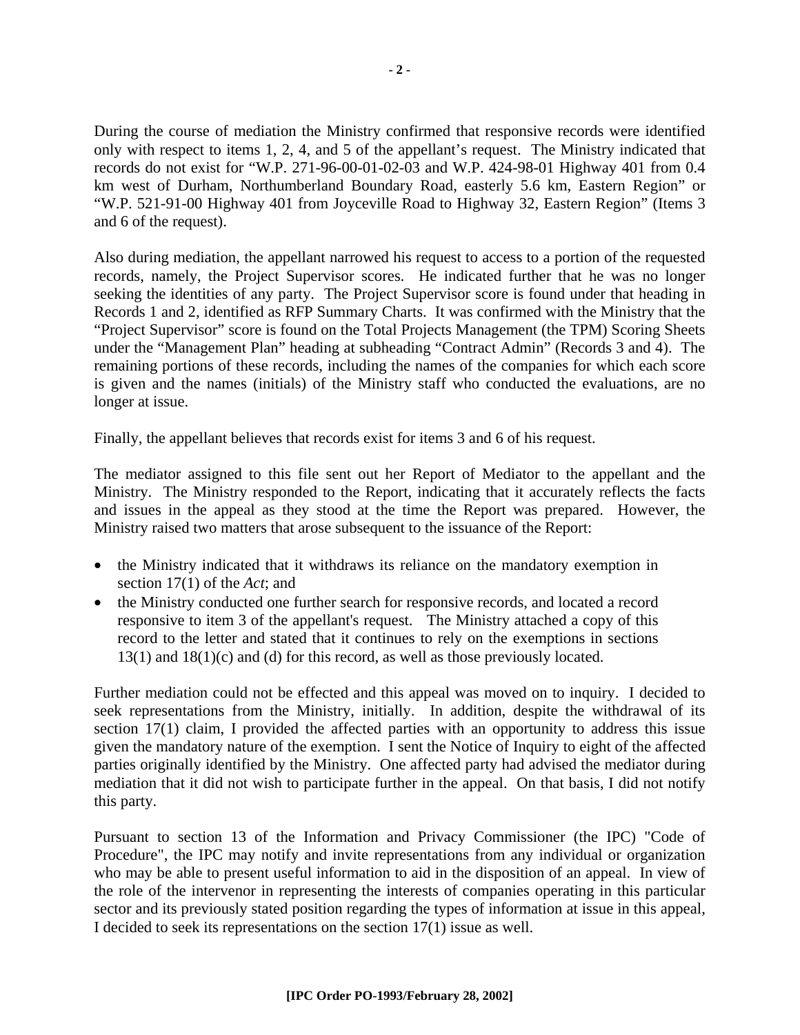During the course of mediation the Ministry confirmed that responsive records were identified only with respect to items 1, 2, 4, and 5 of the appellant's request. The Ministry indicated that records do not exist for "W.P. 271-96-00-01-02-03 and W.P. 424-98-01 Highway 401 from 0.4 km west of Durham, Northumberland Boundary Road, easterly 5.6 km, Eastern Region" or "W.P. 521-91-00 Highway 401 from Joyceville Road to Highway 32, Eastern Region" (Items 3 and 6 of the request).

Also during mediation, the appellant narrowed his request to access to a portion of the requested records, namely, the Project Supervisor scores. He indicated further that he was no longer seeking the identities of any party. The Project Supervisor score is found under that heading in Records 1 and 2, identified as RFP Summary Charts. It was confirmed with the Ministry that the "Project Supervisor" score is found on the Total Projects Management (the TPM) Scoring Sheets under the "Management Plan" heading at subheading "Contract Admin" (Records 3 and 4). The remaining portions of these records, including the names of the companies for which each score is given and the names (initials) of the Ministry staff who conducted the evaluations, are no longer at issue.

Finally, the appellant believes that records exist for items 3 and 6 of his request.

The mediator assigned to this file sent out her Report of Mediator to the appellant and the Ministry. The Ministry responded to the Report, indicating that it accurately reflects the facts and issues in the appeal as they stood at the time the Report was prepared. However, the Ministry raised two matters that arose subsequent to the issuance of the Report:

- the Ministry indicated that it withdraws its reliance on the mandatory exemption in section 17(1) of the *Act*; and
- the Ministry conducted one further search for responsive records, and located a record responsive to item 3 of the appellant's request. The Ministry attached a copy of this record to the letter and stated that it continues to rely on the exemptions in sections 13(1) and 18(1)(c) and (d) for this record, as well as those previously located.

Further mediation could not be effected and this appeal was moved on to inquiry. I decided to seek representations from the Ministry, initially. In addition, despite the withdrawal of its section 17(1) claim, I provided the affected parties with an opportunity to address this issue given the mandatory nature of the exemption. I sent the Notice of Inquiry to eight of the affected parties originally identified by the Ministry. One affected party had advised the mediator during mediation that it did not wish to participate further in the appeal. On that basis, I did not notify this party.

Pursuant to section 13 of the Information and Privacy Commissioner (the IPC) "Code of Procedure", the IPC may notify and invite representations from any individual or organization who may be able to present useful information to aid in the disposition of an appeal. In view of the role of the intervenor in representing the interests of companies operating in this particular sector and its previously stated position regarding the types of information at issue in this appeal, I decided to seek its representations on the section 17(1) issue as well.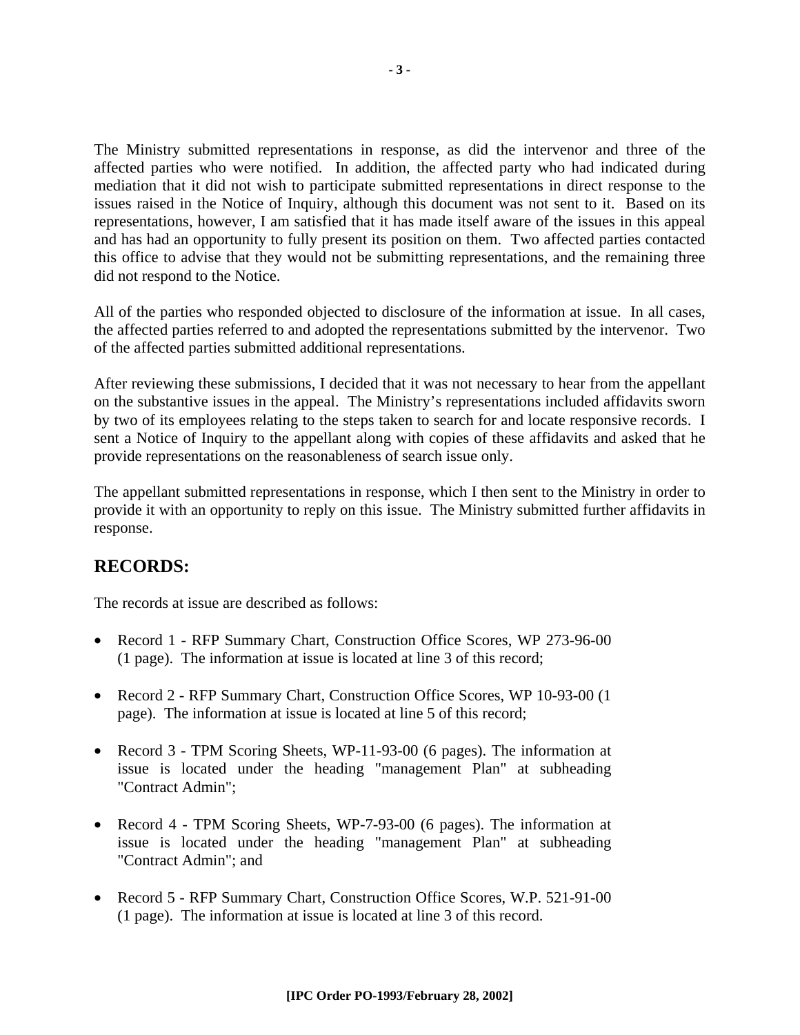The Ministry submitted representations in response, as did the intervenor and three of the affected parties who were notified. In addition, the affected party who had indicated during mediation that it did not wish to participate submitted representations in direct response to the issues raised in the Notice of Inquiry, although this document was not sent to it. Based on its representations, however, I am satisfied that it has made itself aware of the issues in this appeal and has had an opportunity to fully present its position on them. Two affected parties contacted this office to advise that they would not be submitting representations, and the remaining three did not respond to the Notice.

All of the parties who responded objected to disclosure of the information at issue. In all cases, the affected parties referred to and adopted the representations submitted by the intervenor. Two of the affected parties submitted additional representations.

After reviewing these submissions, I decided that it was not necessary to hear from the appellant on the substantive issues in the appeal. The Ministry's representations included affidavits sworn by two of its employees relating to the steps taken to search for and locate responsive records. I sent a Notice of Inquiry to the appellant along with copies of these affidavits and asked that he provide representations on the reasonableness of search issue only.

The appellant submitted representations in response, which I then sent to the Ministry in order to provide it with an opportunity to reply on this issue. The Ministry submitted further affidavits in response.

## **RECORDS:**

The records at issue are described as follows:

- Record 1 RFP Summary Chart, Construction Office Scores, WP 273-96-00 (1 page). The information at issue is located at line 3 of this record;
- Record 2 RFP Summary Chart, Construction Office Scores, WP 10-93-00 (1 page). The information at issue is located at line 5 of this record;
- Record 3 TPM Scoring Sheets, WP-11-93-00 (6 pages). The information at issue is located under the heading "management Plan" at subheading "Contract Admin";
- Record 4 TPM Scoring Sheets, WP-7-93-00 (6 pages). The information at issue is located under the heading "management Plan" at subheading "Contract Admin"; and
- Record 5 RFP Summary Chart, Construction Office Scores, W.P. 521-91-00 (1 page). The information at issue is located at line 3 of this record.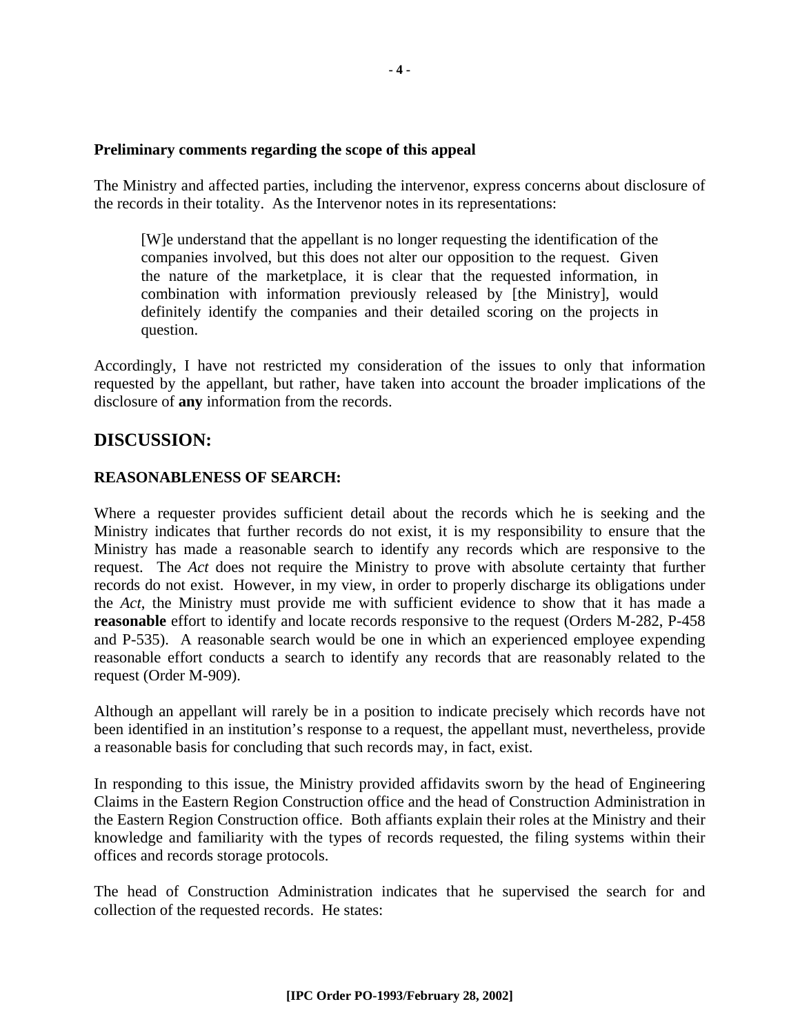#### **Preliminary comments regarding the scope of this appeal**

The Ministry and affected parties, including the intervenor, express concerns about disclosure of the records in their totality. As the Intervenor notes in its representations:

[W]e understand that the appellant is no longer requesting the identification of the companies involved, but this does not alter our opposition to the request. Given the nature of the marketplace, it is clear that the requested information, in combination with information previously released by [the Ministry], would definitely identify the companies and their detailed scoring on the projects in question.

Accordingly, I have not restricted my consideration of the issues to only that information requested by the appellant, but rather, have taken into account the broader implications of the disclosure of **any** information from the records.

#### **DISCUSSION:**

#### **REASONABLENESS OF SEARCH:**

Where a requester provides sufficient detail about the records which he is seeking and the Ministry indicates that further records do not exist, it is my responsibility to ensure that the Ministry has made a reasonable search to identify any records which are responsive to the request. The *Act* does not require the Ministry to prove with absolute certainty that further records do not exist. However, in my view, in order to properly discharge its obligations under the *Act*, the Ministry must provide me with sufficient evidence to show that it has made a **reasonable** effort to identify and locate records responsive to the request (Orders M-282, P-458 and P-535). A reasonable search would be one in which an experienced employee expending reasonable effort conducts a search to identify any records that are reasonably related to the request (Order M-909).

Although an appellant will rarely be in a position to indicate precisely which records have not been identified in an institution's response to a request, the appellant must, nevertheless, provide a reasonable basis for concluding that such records may, in fact, exist.

In responding to this issue, the Ministry provided affidavits sworn by the head of Engineering Claims in the Eastern Region Construction office and the head of Construction Administration in the Eastern Region Construction office. Both affiants explain their roles at the Ministry and their knowledge and familiarity with the types of records requested, the filing systems within their offices and records storage protocols.

The head of Construction Administration indicates that he supervised the search for and collection of the requested records. He states: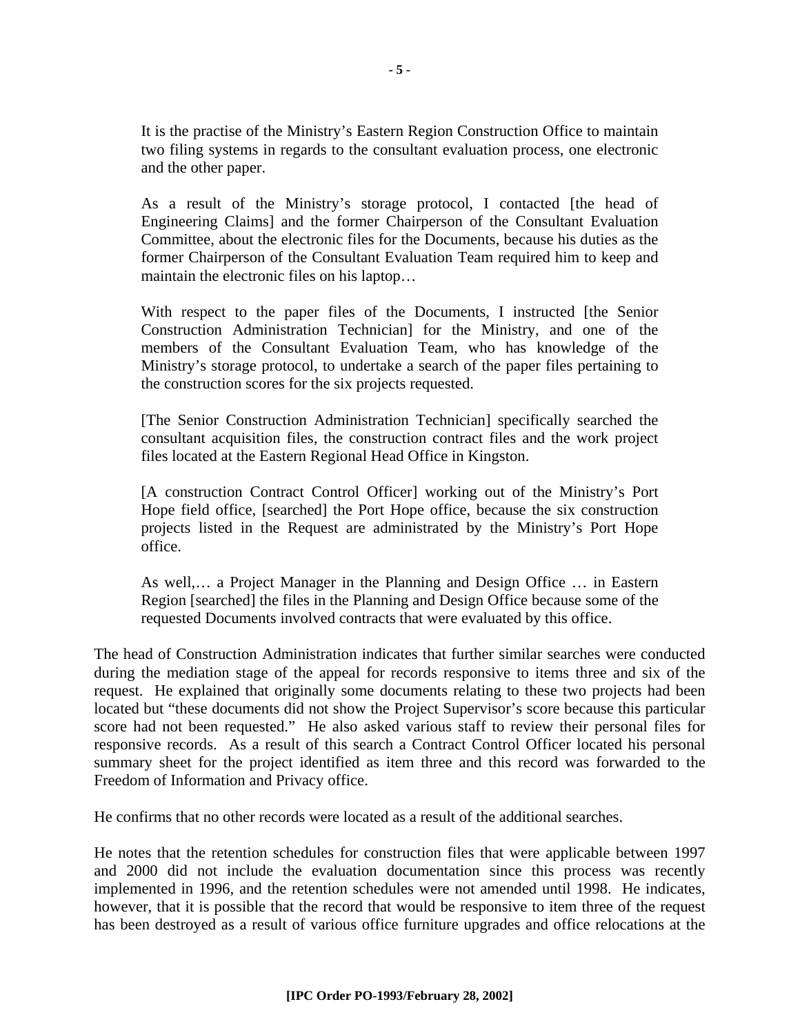It is the practise of the Ministry's Eastern Region Construction Office to maintain two filing systems in regards to the consultant evaluation process, one electronic and the other paper.

As a result of the Ministry's storage protocol, I contacted [the head of Engineering Claims] and the former Chairperson of the Consultant Evaluation Committee, about the electronic files for the Documents, because his duties as the former Chairperson of the Consultant Evaluation Team required him to keep and maintain the electronic files on his laptop…

With respect to the paper files of the Documents, I instructed [the Senior Construction Administration Technician] for the Ministry, and one of the members of the Consultant Evaluation Team, who has knowledge of the Ministry's storage protocol, to undertake a search of the paper files pertaining to the construction scores for the six projects requested.

[The Senior Construction Administration Technician] specifically searched the consultant acquisition files, the construction contract files and the work project files located at the Eastern Regional Head Office in Kingston.

[A construction Contract Control Officer] working out of the Ministry's Port Hope field office, [searched] the Port Hope office, because the six construction projects listed in the Request are administrated by the Ministry's Port Hope office.

As well,… a Project Manager in the Planning and Design Office … in Eastern Region [searched] the files in the Planning and Design Office because some of the requested Documents involved contracts that were evaluated by this office.

The head of Construction Administration indicates that further similar searches were conducted during the mediation stage of the appeal for records responsive to items three and six of the request. He explained that originally some documents relating to these two projects had been located but "these documents did not show the Project Supervisor's score because this particular score had not been requested." He also asked various staff to review their personal files for responsive records. As a result of this search a Contract Control Officer located his personal summary sheet for the project identified as item three and this record was forwarded to the Freedom of Information and Privacy office.

He confirms that no other records were located as a result of the additional searches.

He notes that the retention schedules for construction files that were applicable between 1997 and 2000 did not include the evaluation documentation since this process was recently implemented in 1996, and the retention schedules were not amended until 1998. He indicates, however, that it is possible that the record that would be responsive to item three of the request has been destroyed as a result of various office furniture upgrades and office relocations at the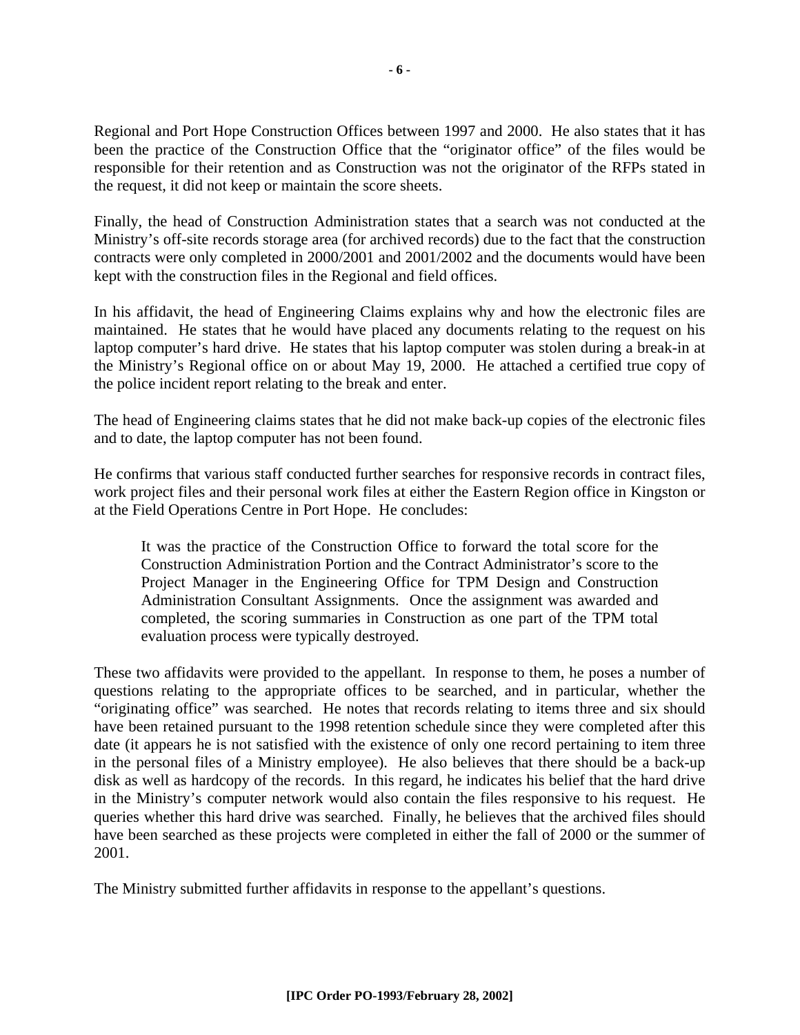Regional and Port Hope Construction Offices between 1997 and 2000. He also states that it has been the practice of the Construction Office that the "originator office" of the files would be responsible for their retention and as Construction was not the originator of the RFPs stated in the request, it did not keep or maintain the score sheets.

Finally, the head of Construction Administration states that a search was not conducted at the Ministry's off-site records storage area (for archived records) due to the fact that the construction contracts were only completed in 2000/2001 and 2001/2002 and the documents would have been kept with the construction files in the Regional and field offices.

In his affidavit, the head of Engineering Claims explains why and how the electronic files are maintained. He states that he would have placed any documents relating to the request on his laptop computer's hard drive. He states that his laptop computer was stolen during a break-in at the Ministry's Regional office on or about May 19, 2000. He attached a certified true copy of the police incident report relating to the break and enter.

The head of Engineering claims states that he did not make back-up copies of the electronic files and to date, the laptop computer has not been found.

He confirms that various staff conducted further searches for responsive records in contract files, work project files and their personal work files at either the Eastern Region office in Kingston or at the Field Operations Centre in Port Hope. He concludes:

It was the practice of the Construction Office to forward the total score for the Construction Administration Portion and the Contract Administrator's score to the Project Manager in the Engineering Office for TPM Design and Construction Administration Consultant Assignments. Once the assignment was awarded and completed, the scoring summaries in Construction as one part of the TPM total evaluation process were typically destroyed.

These two affidavits were provided to the appellant. In response to them, he poses a number of questions relating to the appropriate offices to be searched, and in particular, whether the "originating office" was searched. He notes that records relating to items three and six should have been retained pursuant to the 1998 retention schedule since they were completed after this date (it appears he is not satisfied with the existence of only one record pertaining to item three in the personal files of a Ministry employee). He also believes that there should be a back-up disk as well as hardcopy of the records. In this regard, he indicates his belief that the hard drive in the Ministry's computer network would also contain the files responsive to his request. He queries whether this hard drive was searched. Finally, he believes that the archived files should have been searched as these projects were completed in either the fall of 2000 or the summer of 2001.

The Ministry submitted further affidavits in response to the appellant's questions.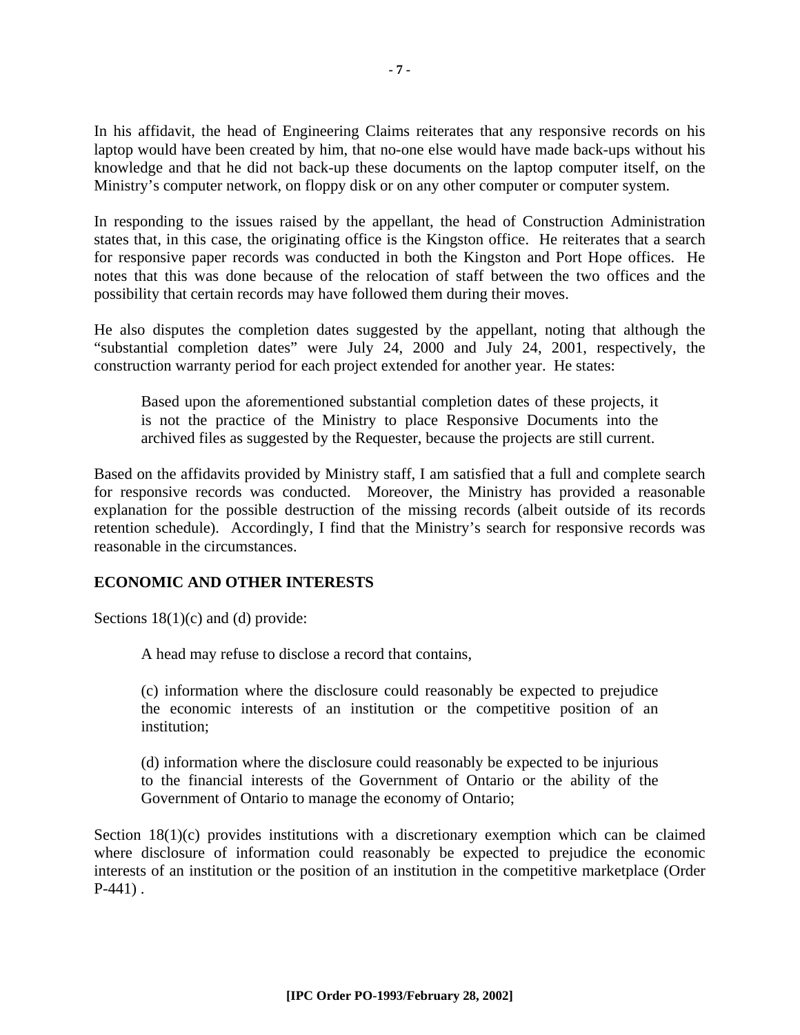In his affidavit, the head of Engineering Claims reiterates that any responsive records on his laptop would have been created by him, that no-one else would have made back-ups without his knowledge and that he did not back-up these documents on the laptop computer itself, on the Ministry's computer network, on floppy disk or on any other computer or computer system.

In responding to the issues raised by the appellant, the head of Construction Administration states that, in this case, the originating office is the Kingston office. He reiterates that a search for responsive paper records was conducted in both the Kingston and Port Hope offices. He notes that this was done because of the relocation of staff between the two offices and the possibility that certain records may have followed them during their moves.

He also disputes the completion dates suggested by the appellant, noting that although the "substantial completion dates" were July 24, 2000 and July 24, 2001, respectively, the construction warranty period for each project extended for another year. He states:

Based upon the aforementioned substantial completion dates of these projects, it is not the practice of the Ministry to place Responsive Documents into the archived files as suggested by the Requester, because the projects are still current.

Based on the affidavits provided by Ministry staff, I am satisfied that a full and complete search for responsive records was conducted. Moreover, the Ministry has provided a reasonable explanation for the possible destruction of the missing records (albeit outside of its records retention schedule). Accordingly, I find that the Ministry's search for responsive records was reasonable in the circumstances.

#### **ECONOMIC AND OTHER INTERESTS**

Sections  $18(1)(c)$  and (d) provide:

A head may refuse to disclose a record that contains,

(c) information where the disclosure could reasonably be expected to prejudice the economic interests of an institution or the competitive position of an institution;

(d) information where the disclosure could reasonably be expected to be injurious to the financial interests of the Government of Ontario or the ability of the Government of Ontario to manage the economy of Ontario;

Section 18(1)(c) provides institutions with a discretionary exemption which can be claimed where disclosure of information could reasonably be expected to prejudice the economic interests of an institution or the position of an institution in the competitive marketplace (Order P-441) .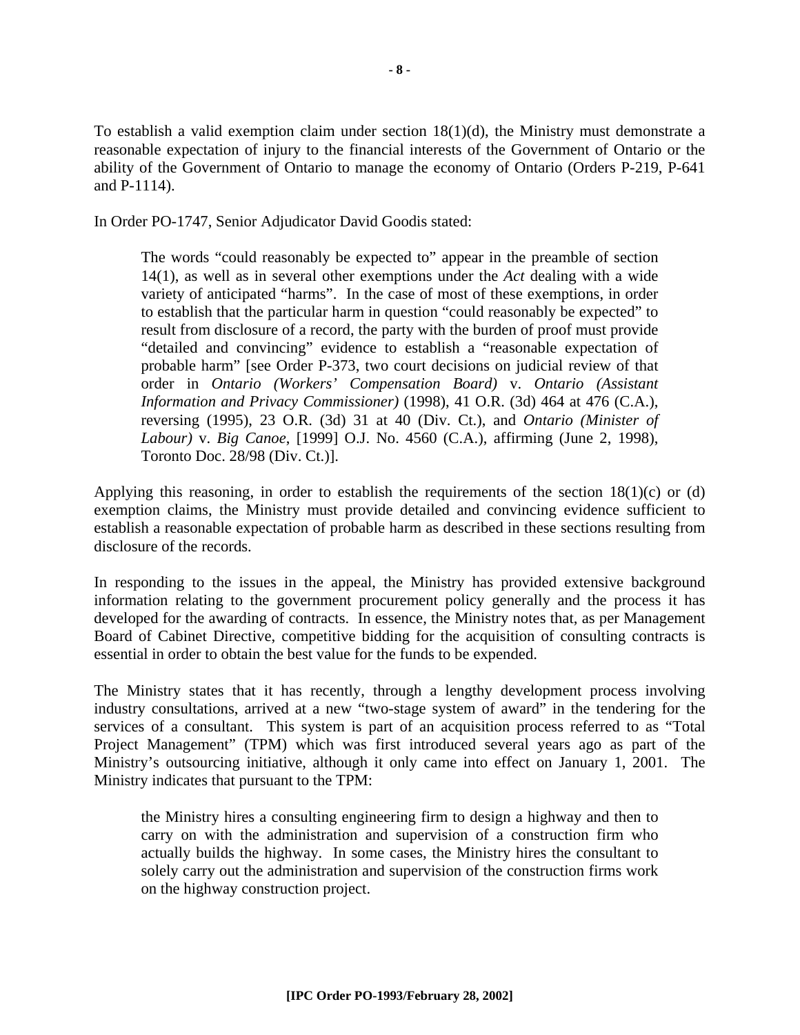To establish a valid exemption claim under section 18(1)(d), the Ministry must demonstrate a reasonable expectation of injury to the financial interests of the Government of Ontario or the ability of the Government of Ontario to manage the economy of Ontario (Orders P-219, P-641 and P-1114).

In Order PO-1747, Senior Adjudicator David Goodis stated:

The words "could reasonably be expected to" appear in the preamble of section 14(1), as well as in several other exemptions under the *Act* dealing with a wide variety of anticipated "harms". In the case of most of these exemptions, in order to establish that the particular harm in question "could reasonably be expected" to result from disclosure of a record, the party with the burden of proof must provide "detailed and convincing" evidence to establish a "reasonable expectation of probable harm" [see Order P-373, two court decisions on judicial review of that order in *Ontario (Workers' Compensation Board)* v. *Ontario (Assistant Information and Privacy Commissioner)* (1998), 41 O.R. (3d) 464 at 476 (C.A.), reversing (1995), 23 O.R. (3d) 31 at 40 (Div. Ct.), and *Ontario (Minister of Labour)* v. *Big Canoe*, [1999] O.J. No. 4560 (C.A.), affirming (June 2, 1998), Toronto Doc. 28/98 (Div. Ct.)].

Applying this reasoning, in order to establish the requirements of the section  $18(1)(c)$  or (d) exemption claims, the Ministry must provide detailed and convincing evidence sufficient to establish a reasonable expectation of probable harm as described in these sections resulting from disclosure of the records.

In responding to the issues in the appeal, the Ministry has provided extensive background information relating to the government procurement policy generally and the process it has developed for the awarding of contracts. In essence, the Ministry notes that, as per Management Board of Cabinet Directive, competitive bidding for the acquisition of consulting contracts is essential in order to obtain the best value for the funds to be expended.

The Ministry states that it has recently, through a lengthy development process involving industry consultations, arrived at a new "two-stage system of award" in the tendering for the services of a consultant. This system is part of an acquisition process referred to as "Total Project Management" (TPM) which was first introduced several years ago as part of the Ministry's outsourcing initiative, although it only came into effect on January 1, 2001. The Ministry indicates that pursuant to the TPM:

the Ministry hires a consulting engineering firm to design a highway and then to carry on with the administration and supervision of a construction firm who actually builds the highway. In some cases, the Ministry hires the consultant to solely carry out the administration and supervision of the construction firms work on the highway construction project.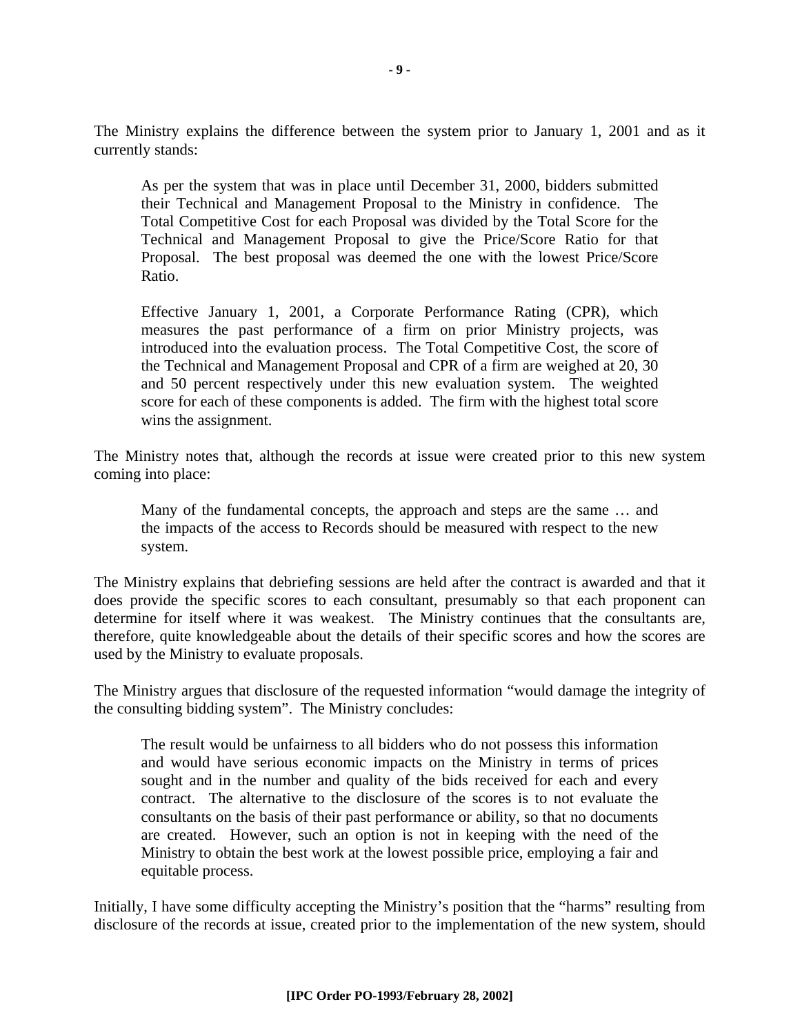The Ministry explains the difference between the system prior to January 1, 2001 and as it currently stands:

As per the system that was in place until December 31, 2000, bidders submitted their Technical and Management Proposal to the Ministry in confidence. The Total Competitive Cost for each Proposal was divided by the Total Score for the Technical and Management Proposal to give the Price/Score Ratio for that Proposal. The best proposal was deemed the one with the lowest Price/Score Ratio.

Effective January 1, 2001, a Corporate Performance Rating (CPR), which measures the past performance of a firm on prior Ministry projects, was introduced into the evaluation process. The Total Competitive Cost, the score of the Technical and Management Proposal and CPR of a firm are weighed at 20, 30 and 50 percent respectively under this new evaluation system. The weighted score for each of these components is added. The firm with the highest total score wins the assignment.

The Ministry notes that, although the records at issue were created prior to this new system coming into place:

Many of the fundamental concepts, the approach and steps are the same … and the impacts of the access to Records should be measured with respect to the new system.

The Ministry explains that debriefing sessions are held after the contract is awarded and that it does provide the specific scores to each consultant, presumably so that each proponent can determine for itself where it was weakest. The Ministry continues that the consultants are, therefore, quite knowledgeable about the details of their specific scores and how the scores are used by the Ministry to evaluate proposals.

The Ministry argues that disclosure of the requested information "would damage the integrity of the consulting bidding system". The Ministry concludes:

The result would be unfairness to all bidders who do not possess this information and would have serious economic impacts on the Ministry in terms of prices sought and in the number and quality of the bids received for each and every contract. The alternative to the disclosure of the scores is to not evaluate the consultants on the basis of their past performance or ability, so that no documents are created. However, such an option is not in keeping with the need of the Ministry to obtain the best work at the lowest possible price, employing a fair and equitable process.

Initially, I have some difficulty accepting the Ministry's position that the "harms" resulting from disclosure of the records at issue, created prior to the implementation of the new system, should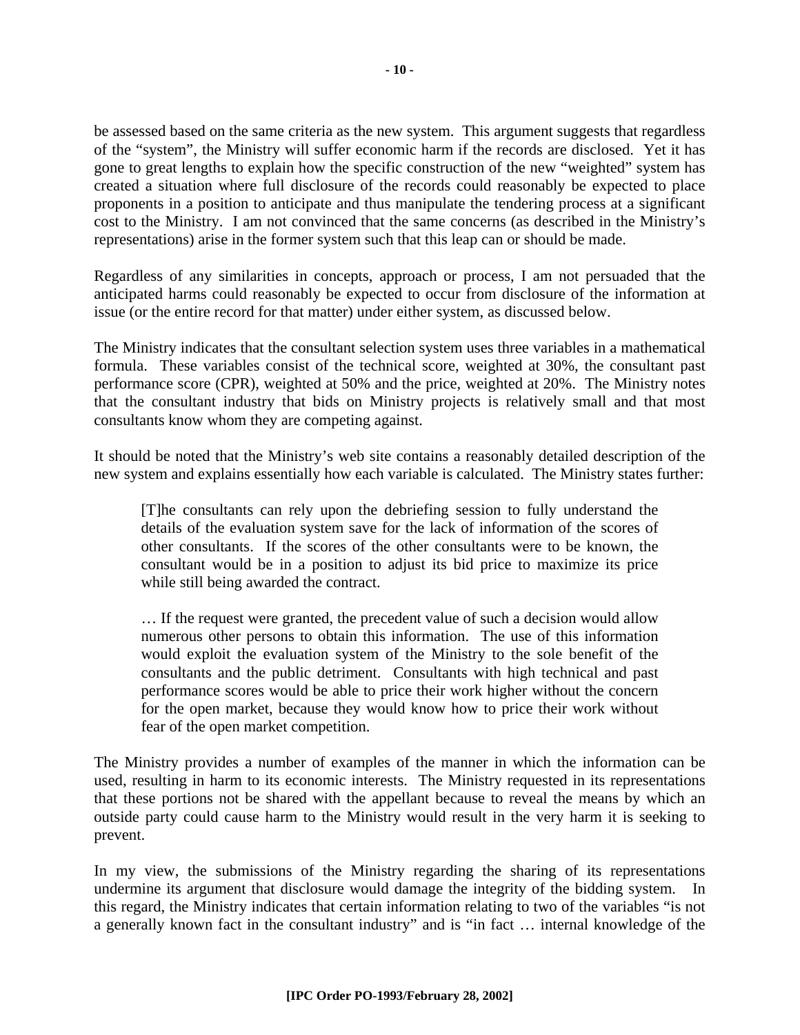be assessed based on the same criteria as the new system. This argument suggests that regardless of the "system", the Ministry will suffer economic harm if the records are disclosed. Yet it has gone to great lengths to explain how the specific construction of the new "weighted" system has created a situation where full disclosure of the records could reasonably be expected to place proponents in a position to anticipate and thus manipulate the tendering process at a significant cost to the Ministry. I am not convinced that the same concerns (as described in the Ministry's representations) arise in the former system such that this leap can or should be made.

Regardless of any similarities in concepts, approach or process, I am not persuaded that the anticipated harms could reasonably be expected to occur from disclosure of the information at issue (or the entire record for that matter) under either system, as discussed below.

The Ministry indicates that the consultant selection system uses three variables in a mathematical formula. These variables consist of the technical score, weighted at 30%, the consultant past performance score (CPR), weighted at 50% and the price, weighted at 20%. The Ministry notes that the consultant industry that bids on Ministry projects is relatively small and that most consultants know whom they are competing against.

It should be noted that the Ministry's web site contains a reasonably detailed description of the new system and explains essentially how each variable is calculated. The Ministry states further:

[T]he consultants can rely upon the debriefing session to fully understand the details of the evaluation system save for the lack of information of the scores of other consultants. If the scores of the other consultants were to be known, the consultant would be in a position to adjust its bid price to maximize its price while still being awarded the contract.

… If the request were granted, the precedent value of such a decision would allow numerous other persons to obtain this information. The use of this information would exploit the evaluation system of the Ministry to the sole benefit of the consultants and the public detriment. Consultants with high technical and past performance scores would be able to price their work higher without the concern for the open market, because they would know how to price their work without fear of the open market competition.

The Ministry provides a number of examples of the manner in which the information can be used, resulting in harm to its economic interests. The Ministry requested in its representations that these portions not be shared with the appellant because to reveal the means by which an outside party could cause harm to the Ministry would result in the very harm it is seeking to prevent.

In my view, the submissions of the Ministry regarding the sharing of its representations undermine its argument that disclosure would damage the integrity of the bidding system. In this regard, the Ministry indicates that certain information relating to two of the variables "is not a generally known fact in the consultant industry" and is "in fact … internal knowledge of the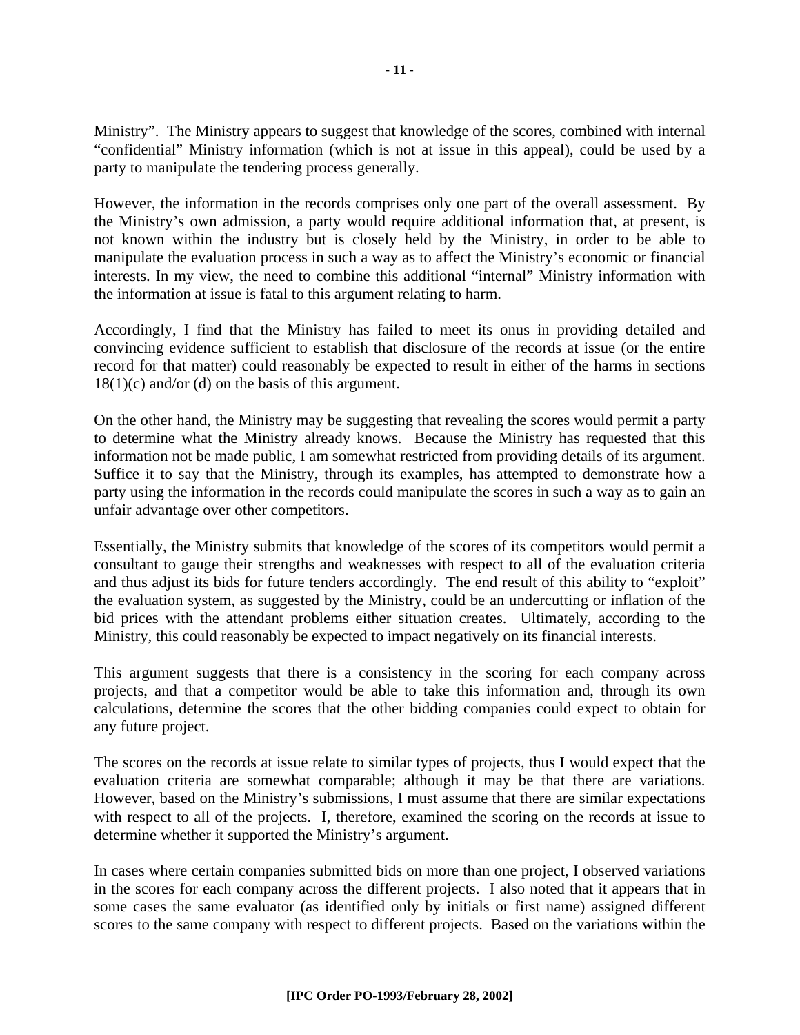Ministry". The Ministry appears to suggest that knowledge of the scores, combined with internal "confidential" Ministry information (which is not at issue in this appeal), could be used by a party to manipulate the tendering process generally.

However, the information in the records comprises only one part of the overall assessment. By the Ministry's own admission, a party would require additional information that, at present, is not known within the industry but is closely held by the Ministry, in order to be able to manipulate the evaluation process in such a way as to affect the Ministry's economic or financial interests. In my view, the need to combine this additional "internal" Ministry information with the information at issue is fatal to this argument relating to harm.

Accordingly, I find that the Ministry has failed to meet its onus in providing detailed and convincing evidence sufficient to establish that disclosure of the records at issue (or the entire record for that matter) could reasonably be expected to result in either of the harms in sections  $18(1)(c)$  and/or (d) on the basis of this argument.

On the other hand, the Ministry may be suggesting that revealing the scores would permit a party to determine what the Ministry already knows. Because the Ministry has requested that this information not be made public, I am somewhat restricted from providing details of its argument. Suffice it to say that the Ministry, through its examples, has attempted to demonstrate how a party using the information in the records could manipulate the scores in such a way as to gain an unfair advantage over other competitors.

Essentially, the Ministry submits that knowledge of the scores of its competitors would permit a consultant to gauge their strengths and weaknesses with respect to all of the evaluation criteria and thus adjust its bids for future tenders accordingly. The end result of this ability to "exploit" the evaluation system, as suggested by the Ministry, could be an undercutting or inflation of the bid prices with the attendant problems either situation creates. Ultimately, according to the Ministry, this could reasonably be expected to impact negatively on its financial interests.

This argument suggests that there is a consistency in the scoring for each company across projects, and that a competitor would be able to take this information and, through its own calculations, determine the scores that the other bidding companies could expect to obtain for any future project.

The scores on the records at issue relate to similar types of projects, thus I would expect that the evaluation criteria are somewhat comparable; although it may be that there are variations. However, based on the Ministry's submissions, I must assume that there are similar expectations with respect to all of the projects. I, therefore, examined the scoring on the records at issue to determine whether it supported the Ministry's argument.

In cases where certain companies submitted bids on more than one project, I observed variations in the scores for each company across the different projects. I also noted that it appears that in some cases the same evaluator (as identified only by initials or first name) assigned different scores to the same company with respect to different projects. Based on the variations within the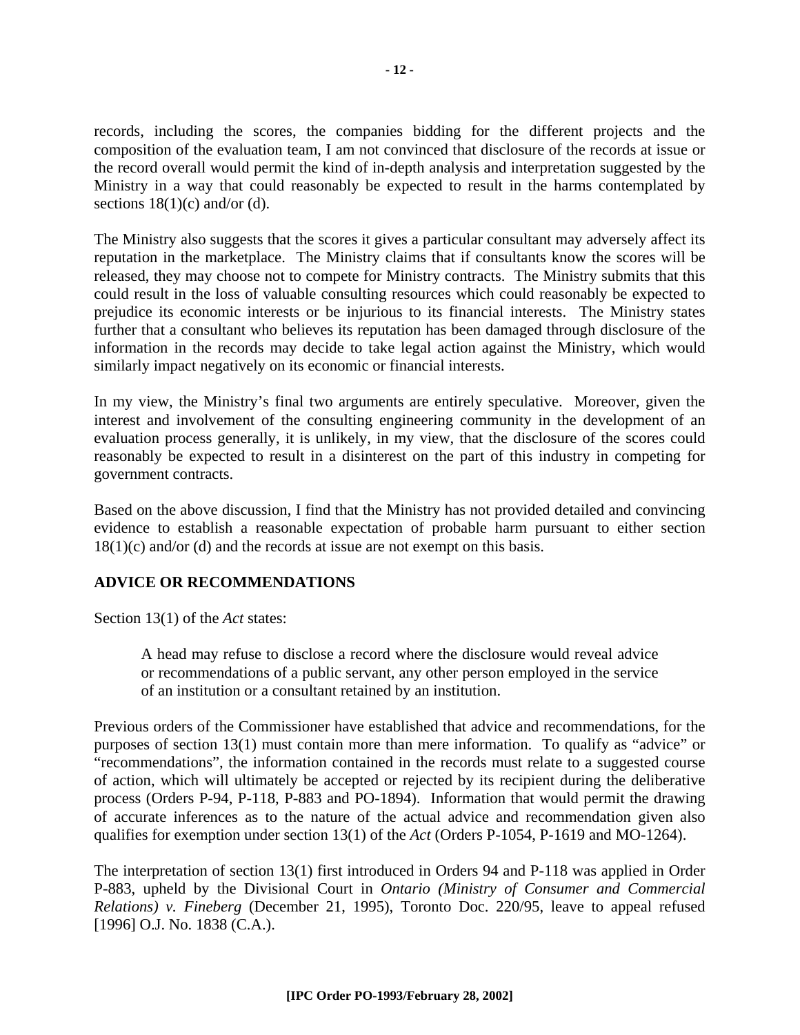records, including the scores, the companies bidding for the different projects and the composition of the evaluation team, I am not convinced that disclosure of the records at issue or the record overall would permit the kind of in-depth analysis and interpretation suggested by the Ministry in a way that could reasonably be expected to result in the harms contemplated by sections  $18(1)(c)$  and/or (d).

The Ministry also suggests that the scores it gives a particular consultant may adversely affect its reputation in the marketplace. The Ministry claims that if consultants know the scores will be released, they may choose not to compete for Ministry contracts. The Ministry submits that this could result in the loss of valuable consulting resources which could reasonably be expected to prejudice its economic interests or be injurious to its financial interests. The Ministry states further that a consultant who believes its reputation has been damaged through disclosure of the information in the records may decide to take legal action against the Ministry, which would similarly impact negatively on its economic or financial interests.

In my view, the Ministry's final two arguments are entirely speculative. Moreover, given the interest and involvement of the consulting engineering community in the development of an evaluation process generally, it is unlikely, in my view, that the disclosure of the scores could reasonably be expected to result in a disinterest on the part of this industry in competing for government contracts.

Based on the above discussion, I find that the Ministry has not provided detailed and convincing evidence to establish a reasonable expectation of probable harm pursuant to either section  $18(1)(c)$  and/or (d) and the records at issue are not exempt on this basis.

#### **ADVICE OR RECOMMENDATIONS**

Section 13(1) of the *Act* states:

A head may refuse to disclose a record where the disclosure would reveal advice or recommendations of a public servant, any other person employed in the service of an institution or a consultant retained by an institution.

Previous orders of the Commissioner have established that advice and recommendations, for the purposes of section 13(1) must contain more than mere information. To qualify as "advice" or "recommendations", the information contained in the records must relate to a suggested course of action, which will ultimately be accepted or rejected by its recipient during the deliberative process (Orders P-94, P-118, P-883 and PO-1894). Information that would permit the drawing of accurate inferences as to the nature of the actual advice and recommendation given also qualifies for exemption under section 13(1) of the *Act* (Orders P-1054, P-1619 and MO-1264).

The interpretation of section 13(1) first introduced in Orders 94 and P-118 was applied in Order P-883, upheld by the Divisional Court in *Ontario (Ministry of Consumer and Commercial Relations) v. Fineberg* (December 21, 1995), Toronto Doc. 220/95, leave to appeal refused [1996] O.J. No. 1838 (C.A.).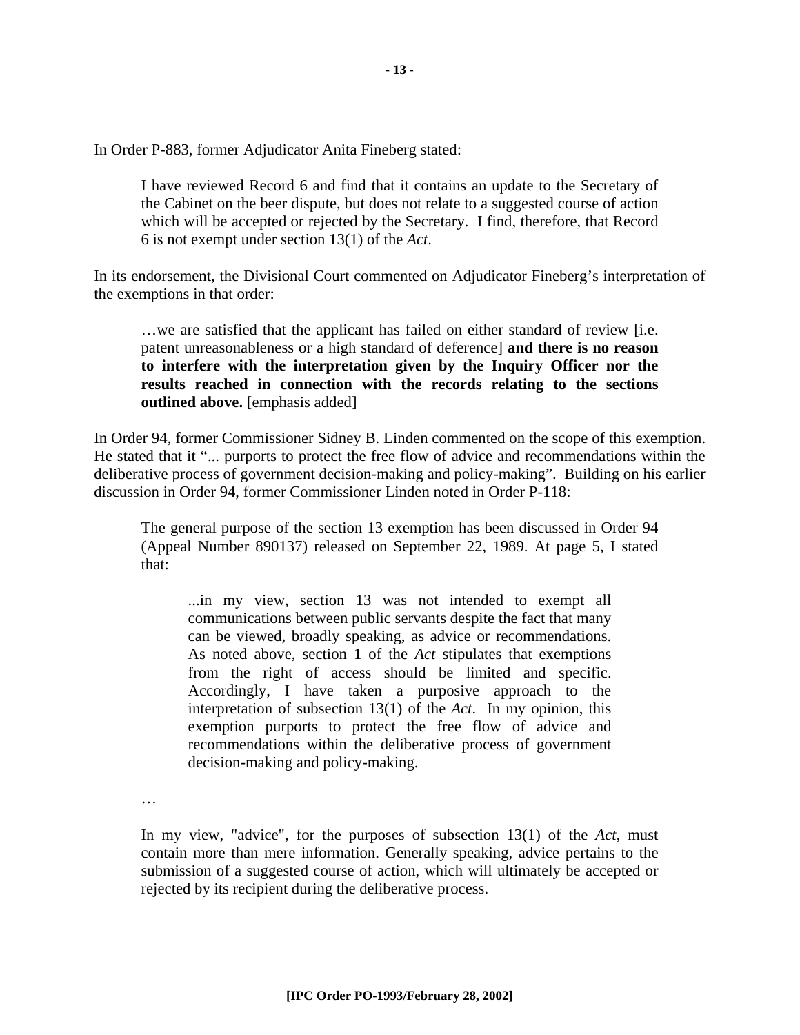In Order P-883, former Adjudicator Anita Fineberg stated:

I have reviewed Record 6 and find that it contains an update to the Secretary of the Cabinet on the beer dispute, but does not relate to a suggested course of action which will be accepted or rejected by the Secretary. I find, therefore, that Record 6 is not exempt under section 13(1) of the *Act*.

In its endorsement, the Divisional Court commented on Adjudicator Fineberg's interpretation of the exemptions in that order:

…we are satisfied that the applicant has failed on either standard of review [i.e. patent unreasonableness or a high standard of deference] **and there is no reason to interfere with the interpretation given by the Inquiry Officer nor the results reached in connection with the records relating to the sections outlined above.** [emphasis added]

In Order 94, former Commissioner Sidney B. Linden commented on the scope of this exemption. He stated that it "... purports to protect the free flow of advice and recommendations within the deliberative process of government decision-making and policy-making". Building on his earlier discussion in Order 94, former Commissioner Linden noted in Order P-118:

The general purpose of the section 13 exemption has been discussed in Order 94 (Appeal Number 890137) released on September 22, 1989. At page 5, I stated that:

...in my view, section 13 was not intended to exempt all communications between public servants despite the fact that many can be viewed, broadly speaking, as advice or recommendations. As noted above, section 1 of the *Act* stipulates that exemptions from the right of access should be limited and specific. Accordingly, I have taken a purposive approach to the interpretation of subsection 13(1) of the *Act*. In my opinion, this exemption purports to protect the free flow of advice and recommendations within the deliberative process of government decision-making and policy-making.

…

In my view, "advice", for the purposes of subsection 13(1) of the *Act*, must contain more than mere information. Generally speaking, advice pertains to the submission of a suggested course of action, which will ultimately be accepted or rejected by its recipient during the deliberative process.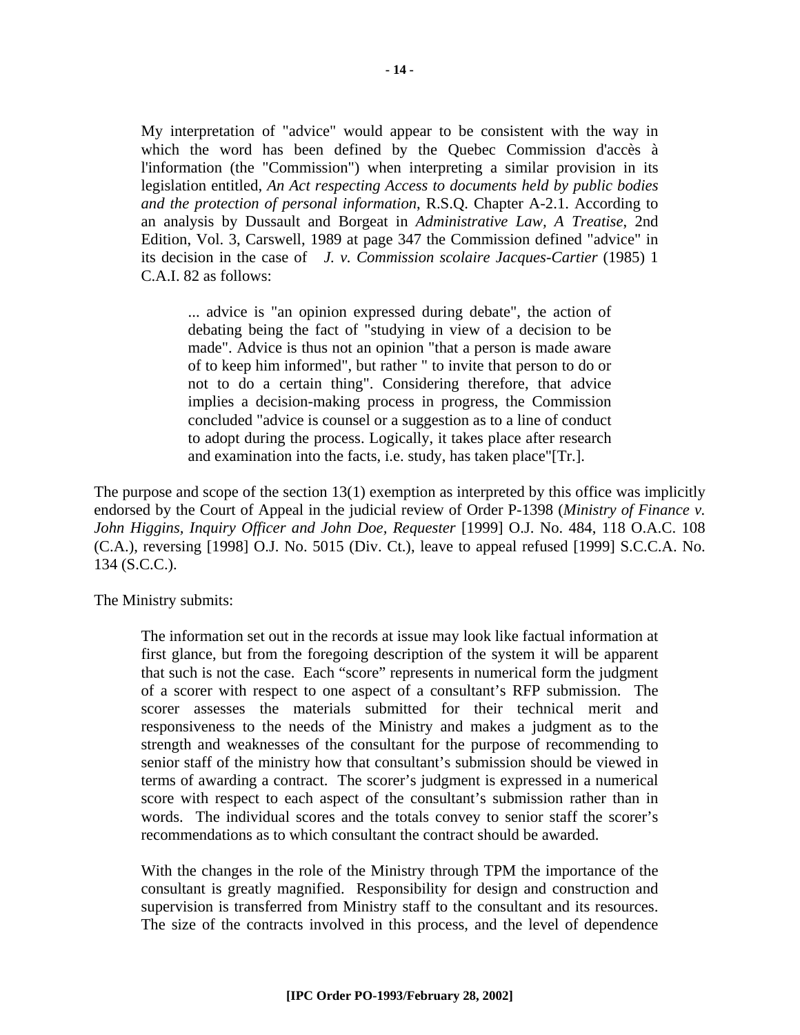My interpretation of "advice" would appear to be consistent with the way in which the word has been defined by the Quebec Commission d'accès à l'information (the "Commission") when interpreting a similar provision in its legislation entitled, *An Act respecting Access to documents held by public bodies and the protection of personal information*, R.S.Q. Chapter A-2.1. According to an analysis by Dussault and Borgeat in *Administrative Law, A Treatise*, 2nd Edition, Vol. 3, Carswell, 1989 at page 347 the Commission defined "advice" in its decision in the case of *J. v. Commission scolaire Jacques-Cartier* (1985) 1 C.A.I. 82 as follows:

... advice is "an opinion expressed during debate", the action of debating being the fact of "studying in view of a decision to be made". Advice is thus not an opinion "that a person is made aware of to keep him informed", but rather " to invite that person to do or not to do a certain thing". Considering therefore, that advice implies a decision-making process in progress, the Commission concluded "advice is counsel or a suggestion as to a line of conduct to adopt during the process. Logically, it takes place after research and examination into the facts, i.e. study, has taken place"[Tr.].

The purpose and scope of the section 13(1) exemption as interpreted by this office was implicitly endorsed by the Court of Appeal in the judicial review of Order P-1398 (*Ministry of Finance v. John Higgins, Inquiry Officer and John Doe, Requester* [1999] O.J. No. 484, 118 O.A.C. 108 (C.A.), reversing [1998] O.J. No. 5015 (Div. Ct.), leave to appeal refused [1999] S.C.C.A. No. 134 (S.C.C.).

The Ministry submits:

The information set out in the records at issue may look like factual information at first glance, but from the foregoing description of the system it will be apparent that such is not the case. Each "score" represents in numerical form the judgment of a scorer with respect to one aspect of a consultant's RFP submission. The scorer assesses the materials submitted for their technical merit and responsiveness to the needs of the Ministry and makes a judgment as to the strength and weaknesses of the consultant for the purpose of recommending to senior staff of the ministry how that consultant's submission should be viewed in terms of awarding a contract. The scorer's judgment is expressed in a numerical score with respect to each aspect of the consultant's submission rather than in words. The individual scores and the totals convey to senior staff the scorer's recommendations as to which consultant the contract should be awarded.

With the changes in the role of the Ministry through TPM the importance of the consultant is greatly magnified. Responsibility for design and construction and supervision is transferred from Ministry staff to the consultant and its resources. The size of the contracts involved in this process, and the level of dependence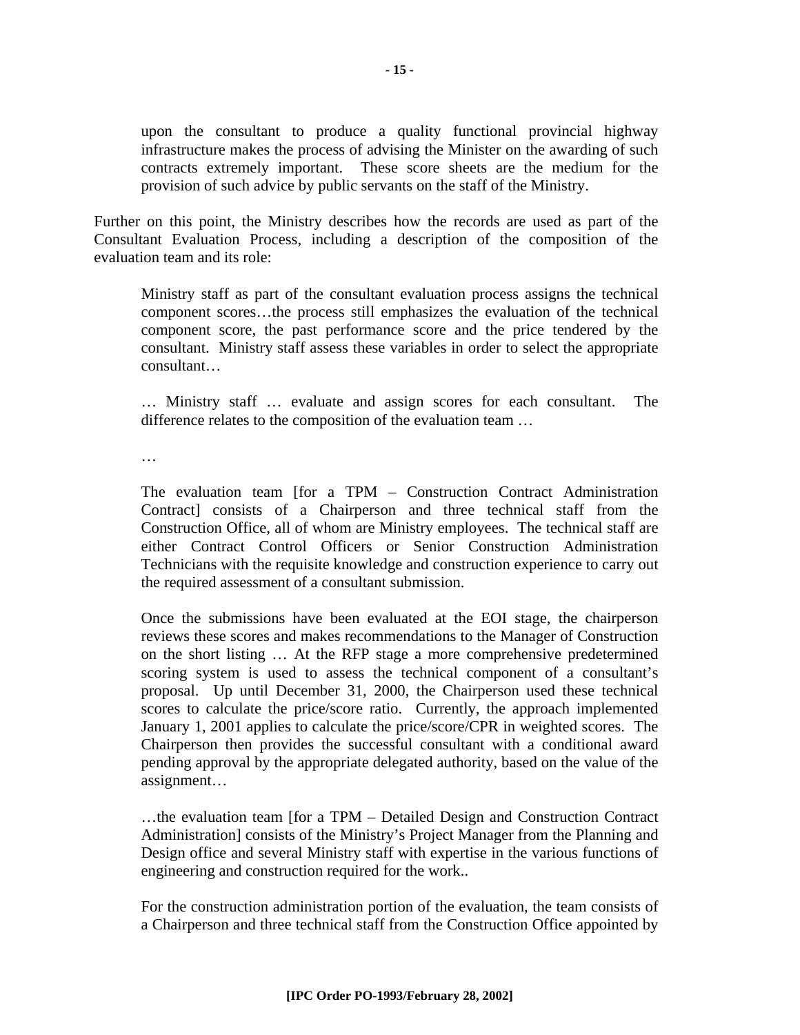upon the consultant to produce a quality functional provincial highway infrastructure makes the process of advising the Minister on the awarding of such contracts extremely important. These score sheets are the medium for the provision of such advice by public servants on the staff of the Ministry.

Further on this point, the Ministry describes how the records are used as part of the Consultant Evaluation Process, including a description of the composition of the evaluation team and its role:

Ministry staff as part of the consultant evaluation process assigns the technical component scores…the process still emphasizes the evaluation of the technical component score, the past performance score and the price tendered by the consultant. Ministry staff assess these variables in order to select the appropriate consultant…

… Ministry staff … evaluate and assign scores for each consultant. The difference relates to the composition of the evaluation team …

…

The evaluation team [for a TPM – Construction Contract Administration Contract] consists of a Chairperson and three technical staff from the Construction Office, all of whom are Ministry employees. The technical staff are either Contract Control Officers or Senior Construction Administration Technicians with the requisite knowledge and construction experience to carry out the required assessment of a consultant submission.

Once the submissions have been evaluated at the EOI stage, the chairperson reviews these scores and makes recommendations to the Manager of Construction on the short listing … At the RFP stage a more comprehensive predetermined scoring system is used to assess the technical component of a consultant's proposal. Up until December 31, 2000, the Chairperson used these technical scores to calculate the price/score ratio. Currently, the approach implemented January 1, 2001 applies to calculate the price/score/CPR in weighted scores. The Chairperson then provides the successful consultant with a conditional award pending approval by the appropriate delegated authority, based on the value of the assignment…

…the evaluation team [for a TPM – Detailed Design and Construction Contract Administration] consists of the Ministry's Project Manager from the Planning and Design office and several Ministry staff with expertise in the various functions of engineering and construction required for the work..

For the construction administration portion of the evaluation, the team consists of a Chairperson and three technical staff from the Construction Office appointed by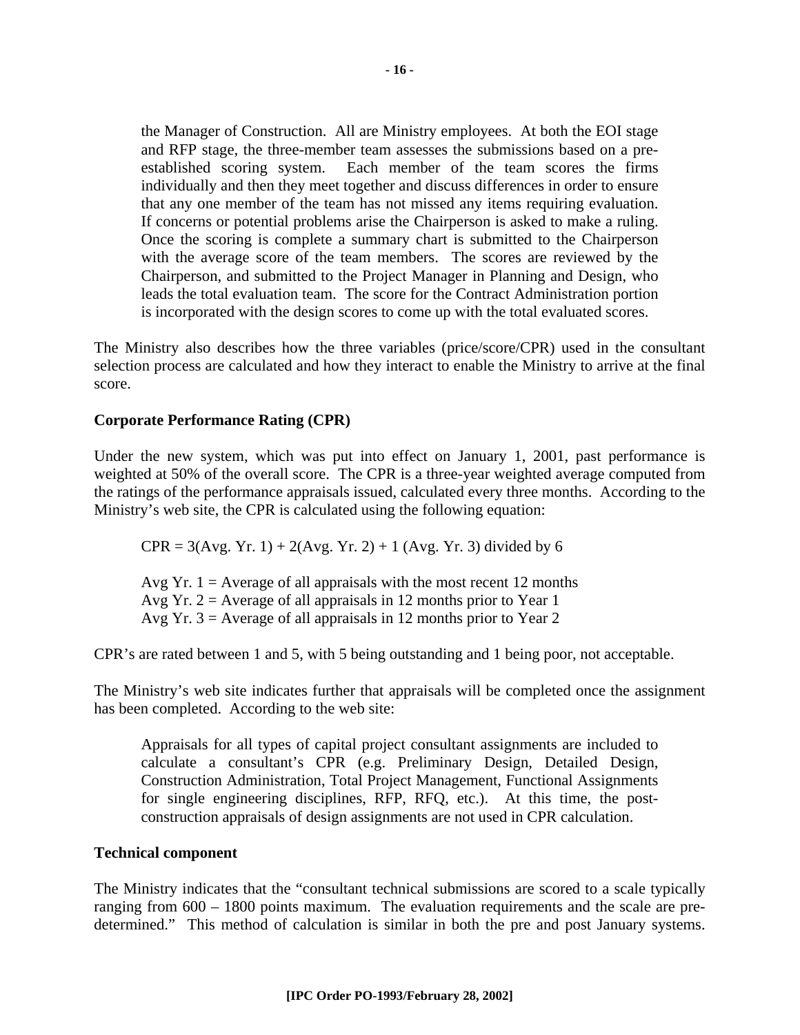the Manager of Construction. All are Ministry employees. At both the EOI stage and RFP stage, the three-member team assesses the submissions based on a preestablished scoring system. Each member of the team scores the firms individually and then they meet together and discuss differences in order to ensure that any one member of the team has not missed any items requiring evaluation. If concerns or potential problems arise the Chairperson is asked to make a ruling. Once the scoring is complete a summary chart is submitted to the Chairperson with the average score of the team members. The scores are reviewed by the Chairperson, and submitted to the Project Manager in Planning and Design, who leads the total evaluation team. The score for the Contract Administration portion is incorporated with the design scores to come up with the total evaluated scores.

The Ministry also describes how the three variables (price/score/CPR) used in the consultant selection process are calculated and how they interact to enable the Ministry to arrive at the final score.

#### **Corporate Performance Rating (CPR)**

Under the new system, which was put into effect on January 1, 2001, past performance is weighted at 50% of the overall score. The CPR is a three-year weighted average computed from the ratings of the performance appraisals issued, calculated every three months. According to the Ministry's web site, the CPR is calculated using the following equation:

 $CPR = 3(Avg. Yr. 1) + 2(Avg. Yr. 2) + 1 (Avg. Yr. 3) divided by 6$ 

Avg Yr.  $1 =$  Average of all appraisals with the most recent 12 months Avg Yr.  $2 =$  Average of all appraisals in 12 months prior to Year 1 Avg Yr.  $3 =$  Average of all appraisals in 12 months prior to Year 2

CPR's are rated between 1 and 5, with 5 being outstanding and 1 being poor, not acceptable.

The Ministry's web site indicates further that appraisals will be completed once the assignment has been completed. According to the web site:

Appraisals for all types of capital project consultant assignments are included to calculate a consultant's CPR (e.g. Preliminary Design, Detailed Design, Construction Administration, Total Project Management, Functional Assignments for single engineering disciplines, RFP, RFQ, etc.). At this time, the postconstruction appraisals of design assignments are not used in CPR calculation.

#### **Technical component**

The Ministry indicates that the "consultant technical submissions are scored to a scale typically ranging from 600 – 1800 points maximum. The evaluation requirements and the scale are predetermined." This method of calculation is similar in both the pre and post January systems.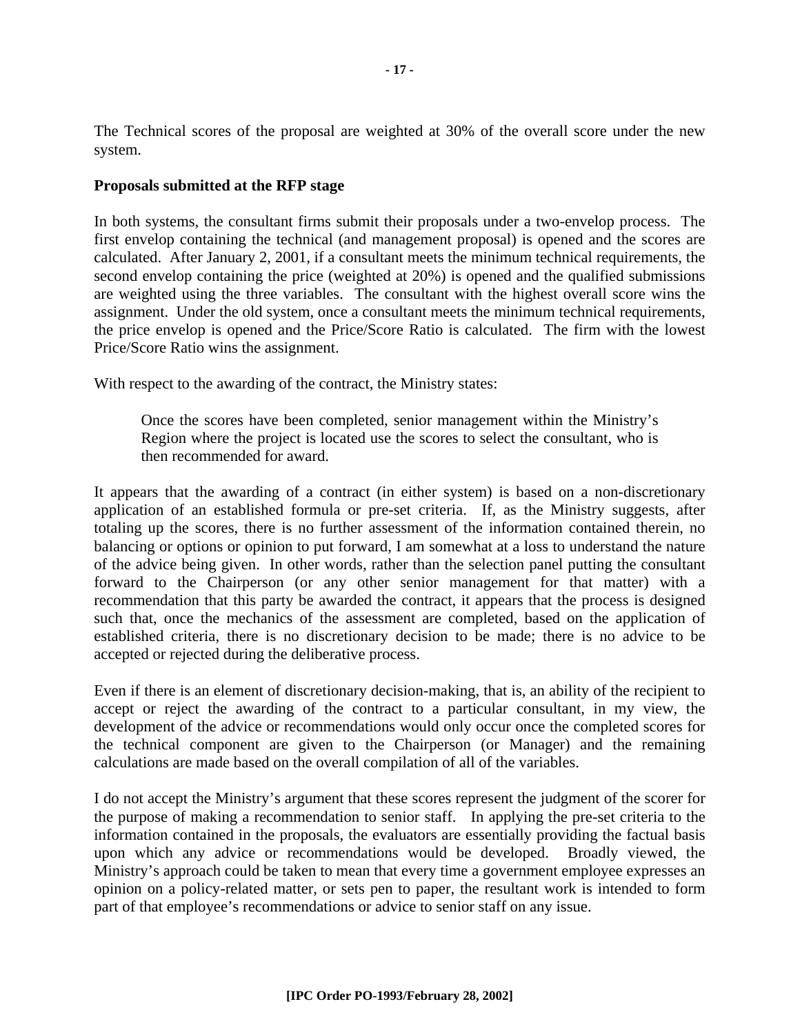The Technical scores of the proposal are weighted at 30% of the overall score under the new system.

#### **Proposals submitted at the RFP stage**

In both systems, the consultant firms submit their proposals under a two-envelop process. The first envelop containing the technical (and management proposal) is opened and the scores are calculated. After January 2, 2001, if a consultant meets the minimum technical requirements, the second envelop containing the price (weighted at 20%) is opened and the qualified submissions are weighted using the three variables. The consultant with the highest overall score wins the assignment. Under the old system, once a consultant meets the minimum technical requirements, the price envelop is opened and the Price/Score Ratio is calculated. The firm with the lowest Price/Score Ratio wins the assignment.

With respect to the awarding of the contract, the Ministry states:

Once the scores have been completed, senior management within the Ministry's Region where the project is located use the scores to select the consultant, who is then recommended for award.

It appears that the awarding of a contract (in either system) is based on a non-discretionary application of an established formula or pre-set criteria. If, as the Ministry suggests, after totaling up the scores, there is no further assessment of the information contained therein, no balancing or options or opinion to put forward, I am somewhat at a loss to understand the nature of the advice being given. In other words, rather than the selection panel putting the consultant forward to the Chairperson (or any other senior management for that matter) with a recommendation that this party be awarded the contract, it appears that the process is designed such that, once the mechanics of the assessment are completed, based on the application of established criteria, there is no discretionary decision to be made; there is no advice to be accepted or rejected during the deliberative process.

Even if there is an element of discretionary decision-making, that is, an ability of the recipient to accept or reject the awarding of the contract to a particular consultant, in my view, the development of the advice or recommendations would only occur once the completed scores for the technical component are given to the Chairperson (or Manager) and the remaining calculations are made based on the overall compilation of all of the variables.

I do not accept the Ministry's argument that these scores represent the judgment of the scorer for the purpose of making a recommendation to senior staff. In applying the pre-set criteria to the information contained in the proposals, the evaluators are essentially providing the factual basis upon which any advice or recommendations would be developed. Broadly viewed, the Ministry's approach could be taken to mean that every time a government employee expresses an opinion on a policy-related matter, or sets pen to paper, the resultant work is intended to form part of that employee's recommendations or advice to senior staff on any issue.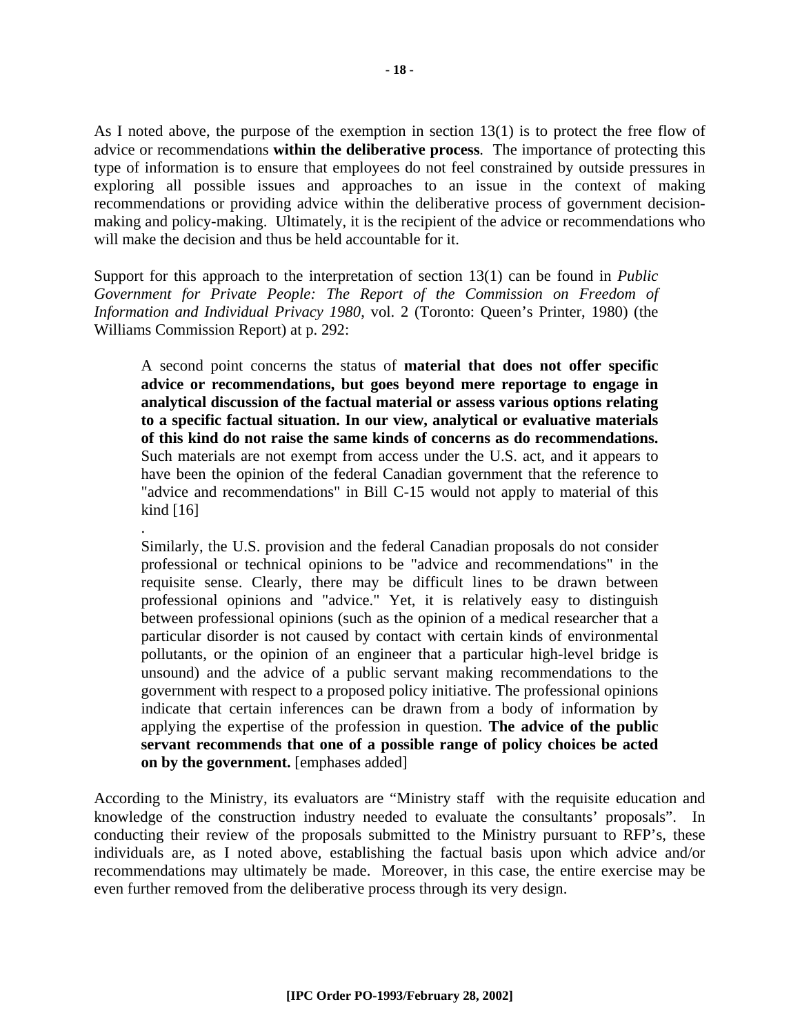As I noted above, the purpose of the exemption in section 13(1) is to protect the free flow of advice or recommendations **within the deliberative process**. The importance of protecting this type of information is to ensure that employees do not feel constrained by outside pressures in exploring all possible issues and approaches to an issue in the context of making recommendations or providing advice within the deliberative process of government decisionmaking and policy-making. Ultimately, it is the recipient of the advice or recommendations who will make the decision and thus be held accountable for it.

Support for this approach to the interpretation of section 13(1) can be found in *Public Government for Private People: The Report of the Commission on Freedom of Information and Individual Privacy 1980*, vol. 2 (Toronto: Queen's Printer, 1980) (the Williams Commission Report) at p. 292:

A second point concerns the status of **material that does not offer specific advice or recommendations, but goes beyond mere reportage to engage in analytical discussion of the factual material or assess various options relating to a specific factual situation. In our view, analytical or evaluative materials of this kind do not raise the same kinds of concerns as do recommendations.** Such materials are not exempt from access under the U.S. act, and it appears to have been the opinion of the federal Canadian government that the reference to "advice and recommendations" in Bill C-15 would not apply to material of this kind [16]

.

Similarly, the U.S. provision and the federal Canadian proposals do not consider professional or technical opinions to be "advice and recommendations" in the requisite sense. Clearly, there may be difficult lines to be drawn between professional opinions and "advice." Yet, it is relatively easy to distinguish between professional opinions (such as the opinion of a medical researcher that a particular disorder is not caused by contact with certain kinds of environmental pollutants, or the opinion of an engineer that a particular high-level bridge is unsound) and the advice of a public servant making recommendations to the government with respect to a proposed policy initiative. The professional opinions indicate that certain inferences can be drawn from a body of information by applying the expertise of the profession in question. **The advice of the public servant recommends that one of a possible range of policy choices be acted on by the government.** [emphases added]

According to the Ministry, its evaluators are "Ministry staff with the requisite education and knowledge of the construction industry needed to evaluate the consultants' proposals". In conducting their review of the proposals submitted to the Ministry pursuant to RFP's, these individuals are, as I noted above, establishing the factual basis upon which advice and/or recommendations may ultimately be made. Moreover, in this case, the entire exercise may be even further removed from the deliberative process through its very design.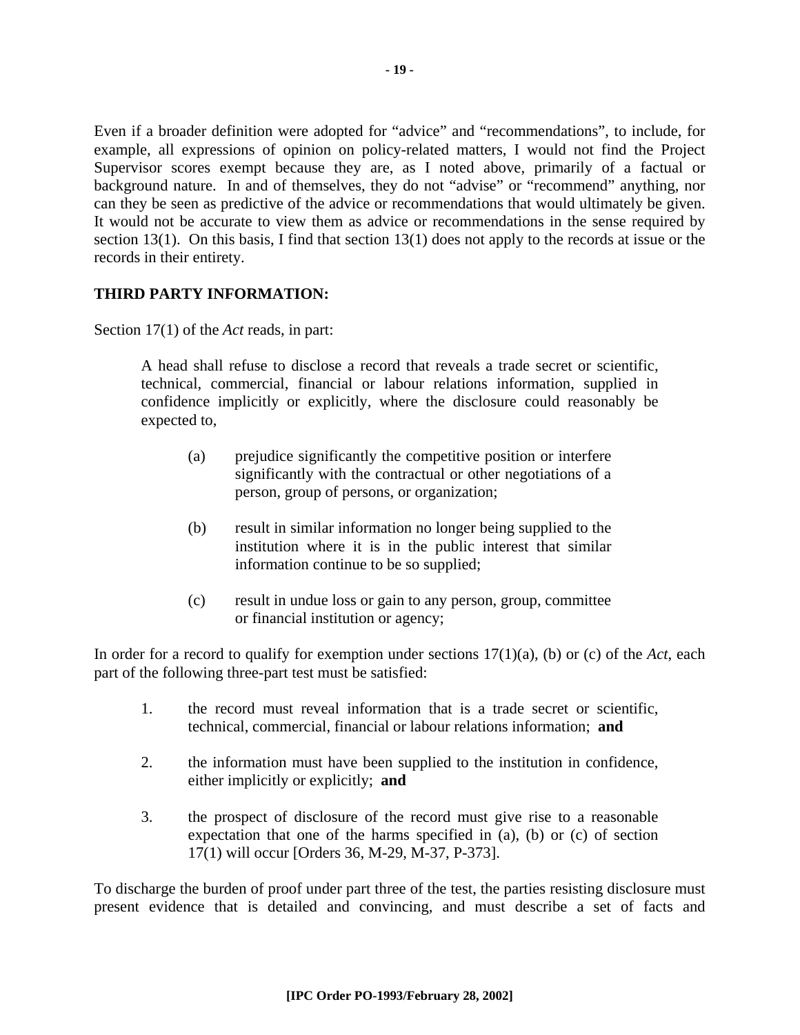Even if a broader definition were adopted for "advice" and "recommendations", to include, for example, all expressions of opinion on policy-related matters, I would not find the Project Supervisor scores exempt because they are, as I noted above, primarily of a factual or background nature. In and of themselves, they do not "advise" or "recommend" anything, nor can they be seen as predictive of the advice or recommendations that would ultimately be given. It would not be accurate to view them as advice or recommendations in the sense required by section 13(1). On this basis, I find that section 13(1) does not apply to the records at issue or the records in their entirety.

#### **THIRD PARTY INFORMATION:**

Section 17(1) of the *Act* reads, in part:

A head shall refuse to disclose a record that reveals a trade secret or scientific, technical, commercial, financial or labour relations information, supplied in confidence implicitly or explicitly, where the disclosure could reasonably be expected to,

- (a) prejudice significantly the competitive position or interfere significantly with the contractual or other negotiations of a person, group of persons, or organization;
- (b) result in similar information no longer being supplied to the institution where it is in the public interest that similar information continue to be so supplied;
- (c) result in undue loss or gain to any person, group, committee or financial institution or agency;

In order for a record to qualify for exemption under sections 17(1)(a), (b) or (c) of the *Act*, each part of the following three-part test must be satisfied:

- 1. the record must reveal information that is a trade secret or scientific, technical, commercial, financial or labour relations information; **and**
- 2. the information must have been supplied to the institution in confidence, either implicitly or explicitly; **and**
- 3. the prospect of disclosure of the record must give rise to a reasonable expectation that one of the harms specified in (a), (b) or (c) of section 17(1) will occur [Orders 36, M-29, M-37, P-373].

To discharge the burden of proof under part three of the test, the parties resisting disclosure must present evidence that is detailed and convincing, and must describe a set of facts and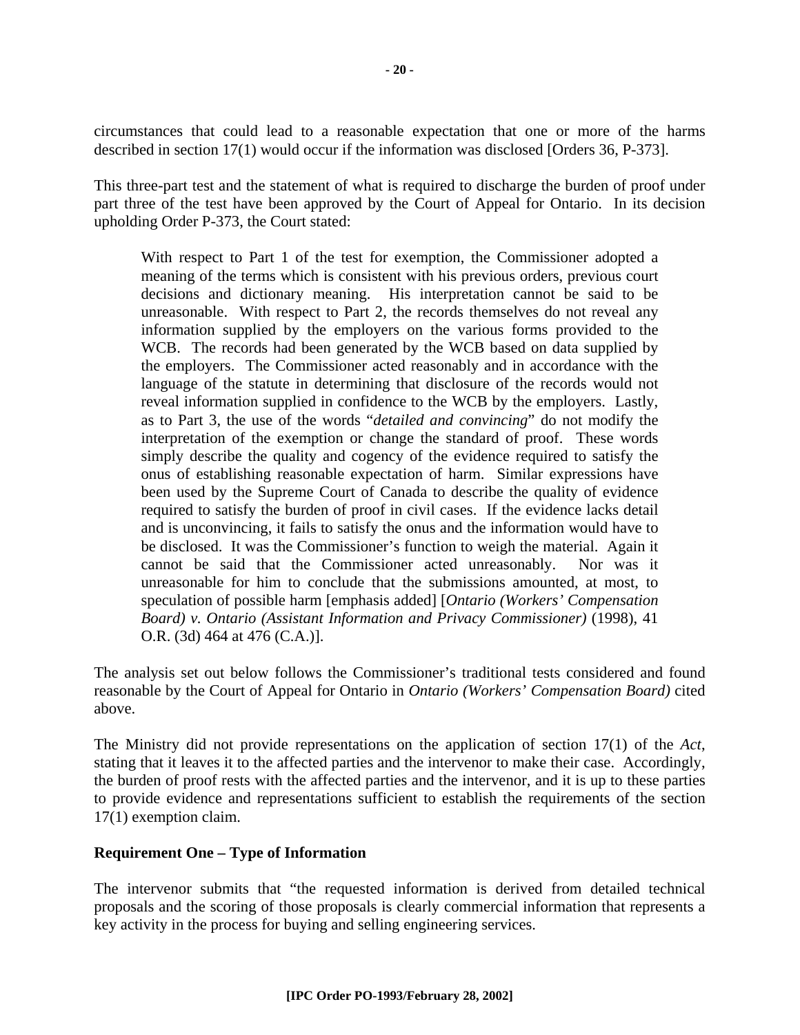circumstances that could lead to a reasonable expectation that one or more of the harms described in section 17(1) would occur if the information was disclosed [Orders 36, P-373].

This three-part test and the statement of what is required to discharge the burden of proof under part three of the test have been approved by the Court of Appeal for Ontario. In its decision upholding Order P-373, the Court stated:

With respect to Part 1 of the test for exemption, the Commissioner adopted a meaning of the terms which is consistent with his previous orders, previous court decisions and dictionary meaning. His interpretation cannot be said to be unreasonable. With respect to Part 2, the records themselves do not reveal any information supplied by the employers on the various forms provided to the WCB. The records had been generated by the WCB based on data supplied by the employers. The Commissioner acted reasonably and in accordance with the language of the statute in determining that disclosure of the records would not reveal information supplied in confidence to the WCB by the employers. Lastly, as to Part 3, the use of the words "*detailed and convincing*" do not modify the interpretation of the exemption or change the standard of proof. These words simply describe the quality and cogency of the evidence required to satisfy the onus of establishing reasonable expectation of harm. Similar expressions have been used by the Supreme Court of Canada to describe the quality of evidence required to satisfy the burden of proof in civil cases. If the evidence lacks detail and is unconvincing, it fails to satisfy the onus and the information would have to be disclosed. It was the Commissioner's function to weigh the material. Again it cannot be said that the Commissioner acted unreasonably. Nor was it unreasonable for him to conclude that the submissions amounted, at most, to speculation of possible harm [emphasis added] [*Ontario (Workers' Compensation Board) v. Ontario (Assistant Information and Privacy Commissioner)* (1998), 41 O.R. (3d) 464 at 476 (C.A.)].

The analysis set out below follows the Commissioner's traditional tests considered and found reasonable by the Court of Appeal for Ontario in *Ontario (Workers' Compensation Board)* cited above.

The Ministry did not provide representations on the application of section 17(1) of the *Act*, stating that it leaves it to the affected parties and the intervenor to make their case. Accordingly, the burden of proof rests with the affected parties and the intervenor, and it is up to these parties to provide evidence and representations sufficient to establish the requirements of the section 17(1) exemption claim.

#### **Requirement One – Type of Information**

The intervenor submits that "the requested information is derived from detailed technical proposals and the scoring of those proposals is clearly commercial information that represents a key activity in the process for buying and selling engineering services.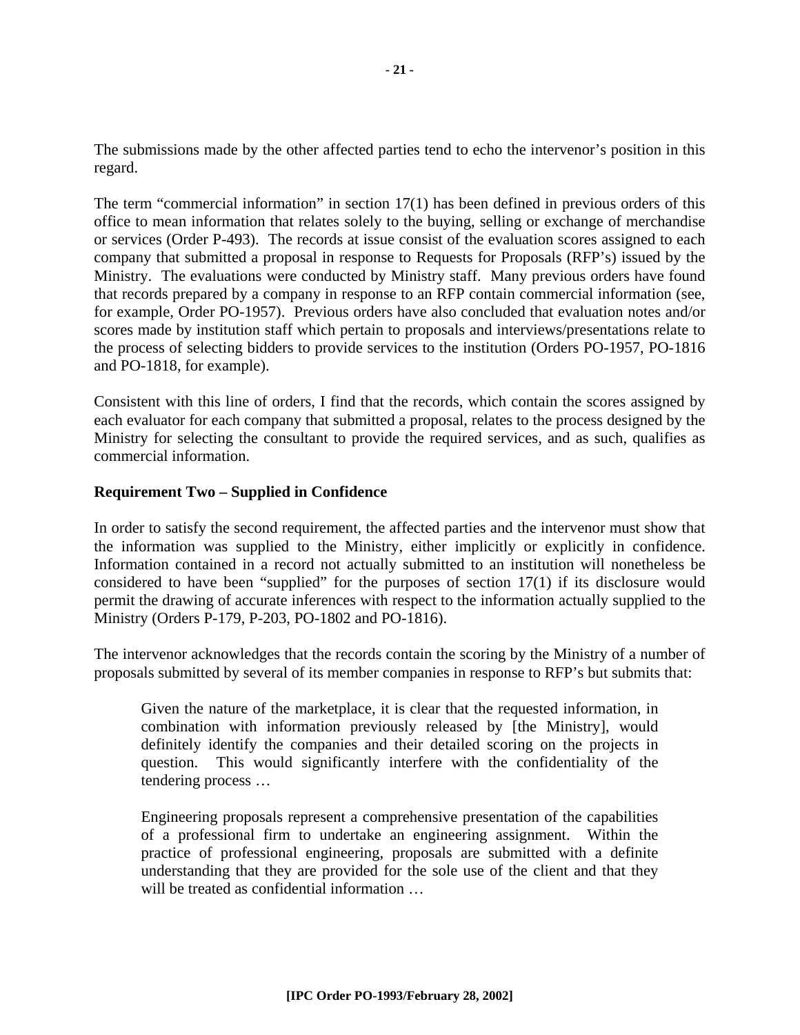The submissions made by the other affected parties tend to echo the intervenor's position in this regard.

The term "commercial information" in section 17(1) has been defined in previous orders of this office to mean information that relates solely to the buying, selling or exchange of merchandise or services (Order P-493). The records at issue consist of the evaluation scores assigned to each company that submitted a proposal in response to Requests for Proposals (RFP's) issued by the Ministry. The evaluations were conducted by Ministry staff. Many previous orders have found that records prepared by a company in response to an RFP contain commercial information (see, for example, Order PO-1957). Previous orders have also concluded that evaluation notes and/or scores made by institution staff which pertain to proposals and interviews/presentations relate to the process of selecting bidders to provide services to the institution (Orders PO-1957, PO-1816 and PO-1818, for example).

Consistent with this line of orders, I find that the records, which contain the scores assigned by each evaluator for each company that submitted a proposal, relates to the process designed by the Ministry for selecting the consultant to provide the required services, and as such, qualifies as commercial information.

#### **Requirement Two – Supplied in Confidence**

In order to satisfy the second requirement, the affected parties and the intervenor must show that the information was supplied to the Ministry, either implicitly or explicitly in confidence. Information contained in a record not actually submitted to an institution will nonetheless be considered to have been "supplied" for the purposes of section 17(1) if its disclosure would permit the drawing of accurate inferences with respect to the information actually supplied to the Ministry (Orders P-179, P-203, PO-1802 and PO-1816).

The intervenor acknowledges that the records contain the scoring by the Ministry of a number of proposals submitted by several of its member companies in response to RFP's but submits that:

Given the nature of the marketplace, it is clear that the requested information, in combination with information previously released by [the Ministry], would definitely identify the companies and their detailed scoring on the projects in question. This would significantly interfere with the confidentiality of the tendering process …

Engineering proposals represent a comprehensive presentation of the capabilities of a professional firm to undertake an engineering assignment. Within the practice of professional engineering, proposals are submitted with a definite understanding that they are provided for the sole use of the client and that they will be treated as confidential information ...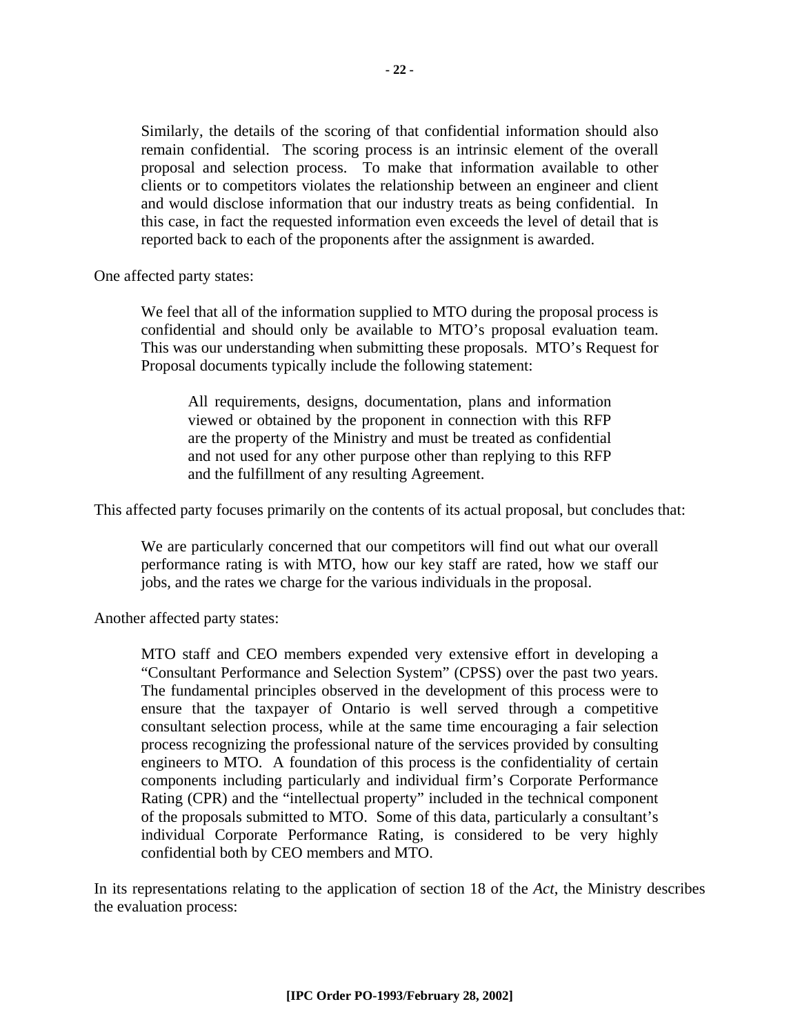Similarly, the details of the scoring of that confidential information should also remain confidential. The scoring process is an intrinsic element of the overall proposal and selection process. To make that information available to other clients or to competitors violates the relationship between an engineer and client and would disclose information that our industry treats as being confidential. In this case, in fact the requested information even exceeds the level of detail that is reported back to each of the proponents after the assignment is awarded.

One affected party states:

We feel that all of the information supplied to MTO during the proposal process is confidential and should only be available to MTO's proposal evaluation team. This was our understanding when submitting these proposals. MTO's Request for Proposal documents typically include the following statement:

All requirements, designs, documentation, plans and information viewed or obtained by the proponent in connection with this RFP are the property of the Ministry and must be treated as confidential and not used for any other purpose other than replying to this RFP and the fulfillment of any resulting Agreement.

This affected party focuses primarily on the contents of its actual proposal, but concludes that:

We are particularly concerned that our competitors will find out what our overall performance rating is with MTO, how our key staff are rated, how we staff our jobs, and the rates we charge for the various individuals in the proposal.

Another affected party states:

MTO staff and CEO members expended very extensive effort in developing a "Consultant Performance and Selection System" (CPSS) over the past two years. The fundamental principles observed in the development of this process were to ensure that the taxpayer of Ontario is well served through a competitive consultant selection process, while at the same time encouraging a fair selection process recognizing the professional nature of the services provided by consulting engineers to MTO. A foundation of this process is the confidentiality of certain components including particularly and individual firm's Corporate Performance Rating (CPR) and the "intellectual property" included in the technical component of the proposals submitted to MTO. Some of this data, particularly a consultant's individual Corporate Performance Rating, is considered to be very highly confidential both by CEO members and MTO.

In its representations relating to the application of section 18 of the *Act*, the Ministry describes the evaluation process: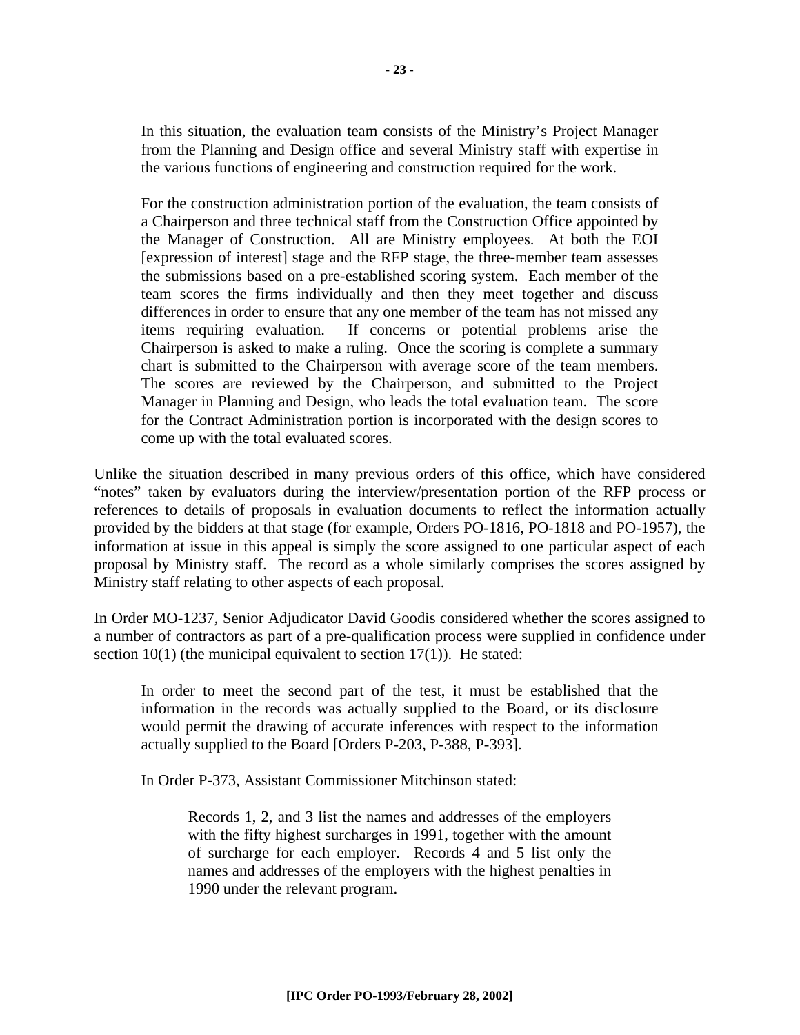In this situation, the evaluation team consists of the Ministry's Project Manager from the Planning and Design office and several Ministry staff with expertise in the various functions of engineering and construction required for the work.

For the construction administration portion of the evaluation, the team consists of a Chairperson and three technical staff from the Construction Office appointed by the Manager of Construction. All are Ministry employees. At both the EOI [expression of interest] stage and the RFP stage, the three-member team assesses the submissions based on a pre-established scoring system. Each member of the team scores the firms individually and then they meet together and discuss differences in order to ensure that any one member of the team has not missed any items requiring evaluation. If concerns or potential problems arise the Chairperson is asked to make a ruling. Once the scoring is complete a summary chart is submitted to the Chairperson with average score of the team members. The scores are reviewed by the Chairperson, and submitted to the Project Manager in Planning and Design, who leads the total evaluation team. The score for the Contract Administration portion is incorporated with the design scores to come up with the total evaluated scores.

Unlike the situation described in many previous orders of this office, which have considered "notes" taken by evaluators during the interview/presentation portion of the RFP process or references to details of proposals in evaluation documents to reflect the information actually provided by the bidders at that stage (for example, Orders PO-1816, PO-1818 and PO-1957), the information at issue in this appeal is simply the score assigned to one particular aspect of each proposal by Ministry staff. The record as a whole similarly comprises the scores assigned by Ministry staff relating to other aspects of each proposal.

In Order MO-1237, Senior Adjudicator David Goodis considered whether the scores assigned to a number of contractors as part of a pre-qualification process were supplied in confidence under section  $10(1)$  (the municipal equivalent to section  $17(1)$ ). He stated:

In order to meet the second part of the test, it must be established that the information in the records was actually supplied to the Board, or its disclosure would permit the drawing of accurate inferences with respect to the information actually supplied to the Board [Orders P-203, P-388, P-393].

In Order P-373, Assistant Commissioner Mitchinson stated:

Records 1, 2, and 3 list the names and addresses of the employers with the fifty highest surcharges in 1991, together with the amount of surcharge for each employer. Records 4 and 5 list only the names and addresses of the employers with the highest penalties in 1990 under the relevant program.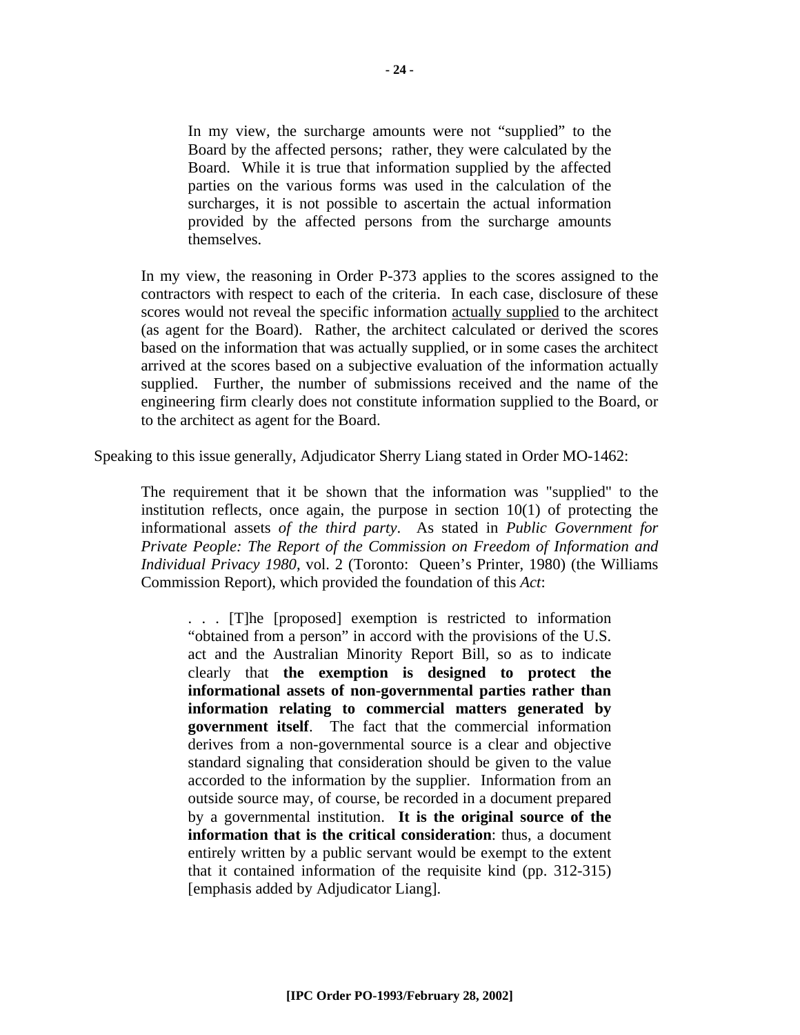In my view, the surcharge amounts were not "supplied" to the Board by the affected persons; rather, they were calculated by the Board. While it is true that information supplied by the affected parties on the various forms was used in the calculation of the surcharges, it is not possible to ascertain the actual information provided by the affected persons from the surcharge amounts themselves.

In my view, the reasoning in Order P-373 applies to the scores assigned to the contractors with respect to each of the criteria. In each case, disclosure of these scores would not reveal the specific information actually supplied to the architect (as agent for the Board). Rather, the architect calculated or derived the scores based on the information that was actually supplied, or in some cases the architect arrived at the scores based on a subjective evaluation of the information actually supplied. Further, the number of submissions received and the name of the engineering firm clearly does not constitute information supplied to the Board, or to the architect as agent for the Board.

Speaking to this issue generally, Adjudicator Sherry Liang stated in Order MO-1462:

The requirement that it be shown that the information was "supplied" to the institution reflects, once again, the purpose in section  $10(1)$  of protecting the informational assets *of the third party*. As stated in *Public Government for Private People: The Report of the Commission on Freedom of Information and Individual Privacy 1980*, vol. 2 (Toronto: Queen's Printer, 1980) (the Williams Commission Report), which provided the foundation of this *Act*:

. . . [T]he [proposed] exemption is restricted to information "obtained from a person" in accord with the provisions of the U.S. act and the Australian Minority Report Bill, so as to indicate clearly that **the exemption is designed to protect the informational assets of non-governmental parties rather than information relating to commercial matters generated by government itself**. The fact that the commercial information derives from a non-governmental source is a clear and objective standard signaling that consideration should be given to the value accorded to the information by the supplier. Information from an outside source may, of course, be recorded in a document prepared by a governmental institution. **It is the original source of the information that is the critical consideration**: thus, a document entirely written by a public servant would be exempt to the extent that it contained information of the requisite kind (pp. 312-315) [emphasis added by Adjudicator Liang].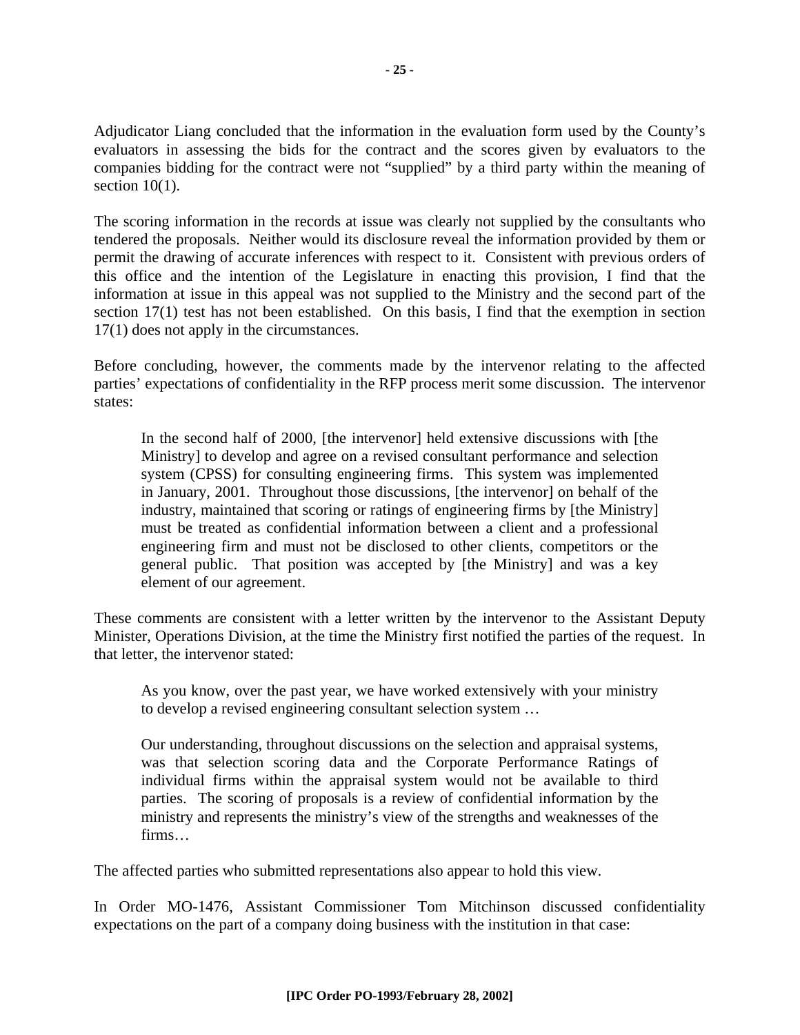Adjudicator Liang concluded that the information in the evaluation form used by the County's evaluators in assessing the bids for the contract and the scores given by evaluators to the companies bidding for the contract were not "supplied" by a third party within the meaning of section  $10(1)$ .

The scoring information in the records at issue was clearly not supplied by the consultants who tendered the proposals. Neither would its disclosure reveal the information provided by them or permit the drawing of accurate inferences with respect to it. Consistent with previous orders of this office and the intention of the Legislature in enacting this provision, I find that the information at issue in this appeal was not supplied to the Ministry and the second part of the section 17(1) test has not been established. On this basis, I find that the exemption in section 17(1) does not apply in the circumstances.

Before concluding, however, the comments made by the intervenor relating to the affected parties' expectations of confidentiality in the RFP process merit some discussion. The intervenor states:

In the second half of 2000, [the intervenor] held extensive discussions with [the Ministry] to develop and agree on a revised consultant performance and selection system (CPSS) for consulting engineering firms. This system was implemented in January, 2001. Throughout those discussions, [the intervenor] on behalf of the industry, maintained that scoring or ratings of engineering firms by [the Ministry] must be treated as confidential information between a client and a professional engineering firm and must not be disclosed to other clients, competitors or the general public. That position was accepted by [the Ministry] and was a key element of our agreement.

These comments are consistent with a letter written by the intervenor to the Assistant Deputy Minister, Operations Division, at the time the Ministry first notified the parties of the request. In that letter, the intervenor stated:

As you know, over the past year, we have worked extensively with your ministry to develop a revised engineering consultant selection system …

Our understanding, throughout discussions on the selection and appraisal systems, was that selection scoring data and the Corporate Performance Ratings of individual firms within the appraisal system would not be available to third parties. The scoring of proposals is a review of confidential information by the ministry and represents the ministry's view of the strengths and weaknesses of the firms…

The affected parties who submitted representations also appear to hold this view.

In Order MO-1476, Assistant Commissioner Tom Mitchinson discussed confidentiality expectations on the part of a company doing business with the institution in that case: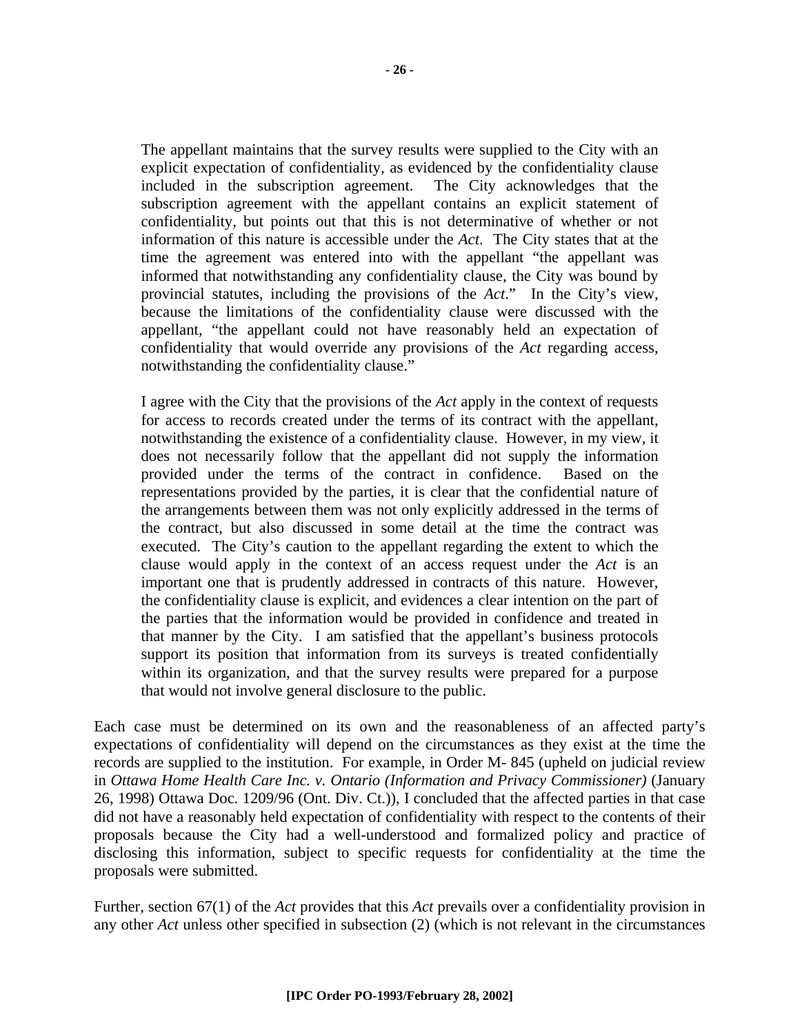The appellant maintains that the survey results were supplied to the City with an explicit expectation of confidentiality, as evidenced by the confidentiality clause included in the subscription agreement. The City acknowledges that the subscription agreement with the appellant contains an explicit statement of confidentiality, but points out that this is not determinative of whether or not information of this nature is accessible under the *Act*. The City states that at the time the agreement was entered into with the appellant "the appellant was informed that notwithstanding any confidentiality clause, the City was bound by provincial statutes, including the provisions of the *Act*." In the City's view, because the limitations of the confidentiality clause were discussed with the appellant, "the appellant could not have reasonably held an expectation of confidentiality that would override any provisions of the *Act* regarding access, notwithstanding the confidentiality clause."

I agree with the City that the provisions of the *Act* apply in the context of requests for access to records created under the terms of its contract with the appellant, notwithstanding the existence of a confidentiality clause. However, in my view, it does not necessarily follow that the appellant did not supply the information provided under the terms of the contract in confidence. Based on the representations provided by the parties, it is clear that the confidential nature of the arrangements between them was not only explicitly addressed in the terms of the contract, but also discussed in some detail at the time the contract was executed. The City's caution to the appellant regarding the extent to which the clause would apply in the context of an access request under the *Act* is an important one that is prudently addressed in contracts of this nature. However, the confidentiality clause is explicit, and evidences a clear intention on the part of the parties that the information would be provided in confidence and treated in that manner by the City. I am satisfied that the appellant's business protocols support its position that information from its surveys is treated confidentially within its organization, and that the survey results were prepared for a purpose that would not involve general disclosure to the public.

Each case must be determined on its own and the reasonableness of an affected party's expectations of confidentiality will depend on the circumstances as they exist at the time the records are supplied to the institution. For example, in Order M- 845 (upheld on judicial review in *Ottawa Home Health Care Inc. v. Ontario (Information and Privacy Commissioner)* (January 26, 1998) Ottawa Doc. 1209/96 (Ont. Div. Ct.)), I concluded that the affected parties in that case did not have a reasonably held expectation of confidentiality with respect to the contents of their proposals because the City had a well-understood and formalized policy and practice of disclosing this information, subject to specific requests for confidentiality at the time the proposals were submitted.

Further, section 67(1) of the *Act* provides that this *Act* prevails over a confidentiality provision in any other *Act* unless other specified in subsection (2) (which is not relevant in the circumstances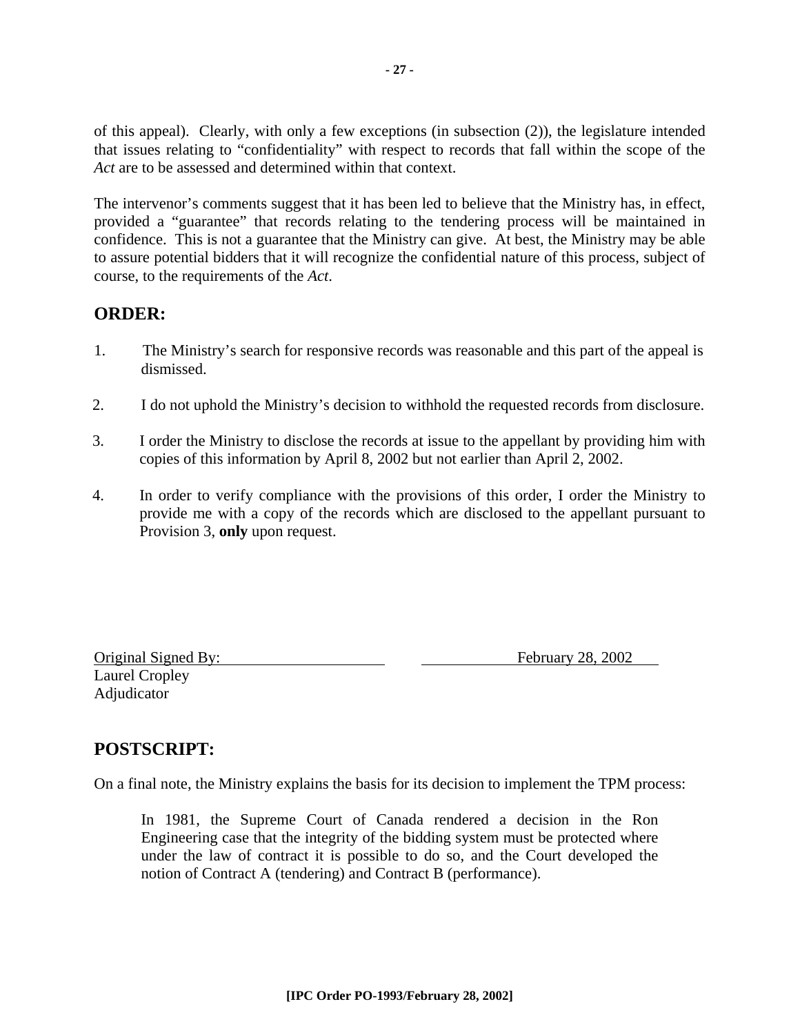of this appeal). Clearly, with only a few exceptions (in subsection (2)), the legislature intended that issues relating to "confidentiality" with respect to records that fall within the scope of the *Act* are to be assessed and determined within that context.

The intervenor's comments suggest that it has been led to believe that the Ministry has, in effect, provided a "guarantee" that records relating to the tendering process will be maintained in confidence. This is not a guarantee that the Ministry can give. At best, the Ministry may be able to assure potential bidders that it will recognize the confidential nature of this process, subject of course, to the requirements of the *Act*.

#### **ORDER:**

- 1. The Ministry's search for responsive records was reasonable and this part of the appeal is dismissed.
- 2. I do not uphold the Ministry's decision to withhold the requested records from disclosure.
- 3. I order the Ministry to disclose the records at issue to the appellant by providing him with copies of this information by April 8, 2002 but not earlier than April 2, 2002.
- 4. In order to verify compliance with the provisions of this order, I order the Ministry to provide me with a copy of the records which are disclosed to the appellant pursuant to Provision 3, **only** upon request.

Laurel Cropley Adjudicator

Original Signed By: February 28, 2002

### **POSTSCRIPT:**

On a final note, the Ministry explains the basis for its decision to implement the TPM process:

In 1981, the Supreme Court of Canada rendered a decision in the Ron Engineering case that the integrity of the bidding system must be protected where under the law of contract it is possible to do so, and the Court developed the notion of Contract A (tendering) and Contract B (performance).